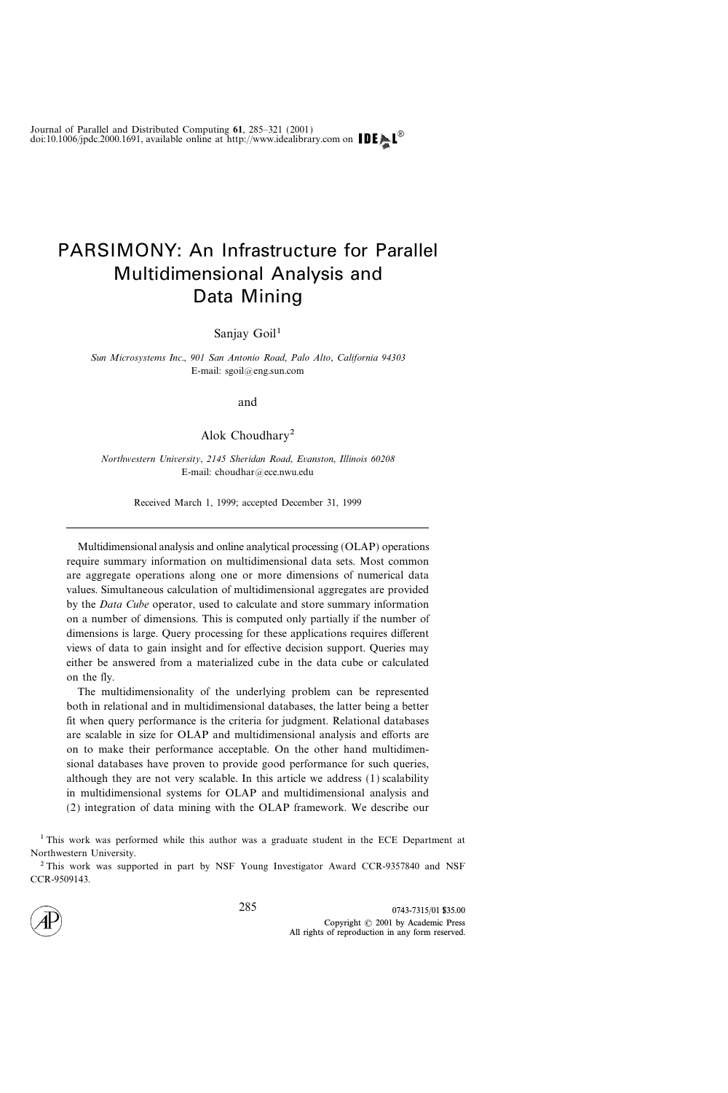# PARSIMONY: An Infrastructure for Parallel Multidimensional Analysis and Data Mining

Sanjay Goil<sup>1</sup>

Sun Microsystems Inc., 901 San Antonio Road, Palo Alto, California 94303 E-mail: sgoil@eng.sun.com

and

Alok Choudhary<sup>2</sup>

Northwestern University, 2145 Sheridan Road, Evanston, Illinois 60208 E-mail: choudhar@ece.nwu.edu

Received March 1, 1999; accepted December 31, 1999

Multidimensional analysis and online analytical processing (OLAP) operations require summary information on multidimensional data sets. Most common are aggregate operations along one or more dimensions of numerical data values. Simultaneous calculation of multidimensional aggregates are provided by the *Data Cube* operator, used to calculate and store summary information on a number of dimensions. This is computed only partially if the number of dimensions is large. Query processing for these applications requires different views of data to gain insight and for effective decision support. Queries may either be answered from a materialized cube in the data cube or calculated on the fly.

The multidimensionality of the underlying problem can be represented both in relational and in multidimensional databases, the latter being a better fit when query performance is the criteria for judgment. Relational databases are scalable in size for OLAP and multidimensional analysis and efforts are on to make their performance acceptable. On the other hand multidimensional databases have proven to provide good performance for such queries, although they are not very scalable. In this article we address (1) scalability in multidimensional systems for OLAP and multidimensional analysis and (2) integration of data mining with the OLAP framework. We describe our

<sup>2</sup> This work was supported in part by NSF Young Investigator Award CCR-9357840 and NSF CCR-9509143.



<sup>&</sup>lt;sup>1</sup> This work was performed while this author was a graduate student in the ECE Department at Northwestern University.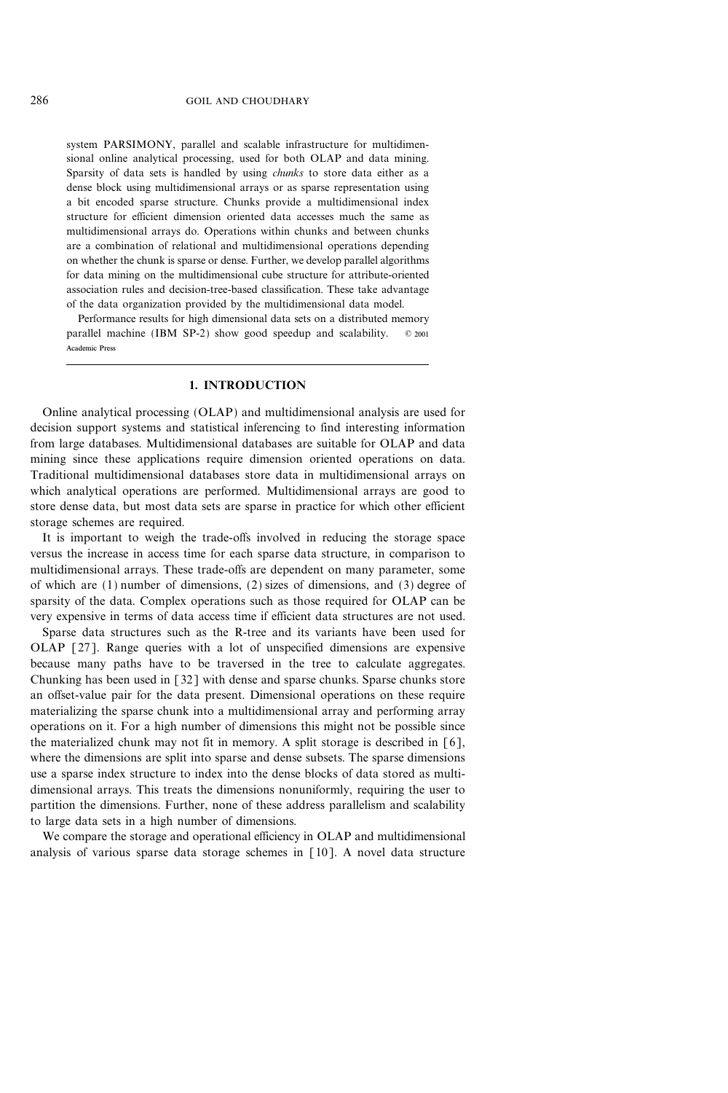system PARSIMONY, parallel and scalable infrastructure for multidimensional online analytical processing, used for both OLAP and data mining. Sparsity of data sets is handled by using chunks to store data either as a dense block using multidimensional arrays or as sparse representation using a bit encoded sparse structure. Chunks provide a multidimensional index structure for efficient dimension oriented data accesses much the same as multidimensional arrays do. Operations within chunks and between chunks are a combination of relational and multidimensional operations depending on whether the chunk is sparse or dense. Further, we develop parallel algorithms for data mining on the multidimensional cube structure for attribute-oriented association rules and decision-tree-based classification. These take advantage of the data organization provided by the multidimensional data model.

Performance results for high dimensional data sets on a distributed memory parallel machine (IBM SP-2) show good speedup and scalability.  $\circ$  2001 Academic Press

# 1. INTRODUCTION

Online analytical processing (OLAP) and multidimensional analysis are used for decision support systems and statistical inferencing to find interesting information from large databases. Multidimensional databases are suitable for OLAP and data mining since these applications require dimension oriented operations on data. Traditional multidimensional databases store data in multidimensional arrays on which analytical operations are performed. Multidimensional arrays are good to store dense data, but most data sets are sparse in practice for which other efficient storage schemes are required.

It is important to weigh the trade-offs involved in reducing the storage space versus the increase in access time for each sparse data structure, in comparison to multidimensional arrays. These trade-offs are dependent on many parameter, some of which are (1) number of dimensions, (2) sizes of dimensions, and (3) degree of sparsity of the data. Complex operations such as those required for OLAP can be very expensive in terms of data access time if efficient data structures are not used.

Sparse data structures such as the R-tree and its variants have been used for OLAP [27]. Range queries with a lot of unspecified dimensions are expensive because many paths have to be traversed in the tree to calculate aggregates. Chunking has been used in [32] with dense and sparse chunks. Sparse chunks store an offset-value pair for the data present. Dimensional operations on these require materializing the sparse chunk into a multidimensional array and performing array operations on it. For a high number of dimensions this might not be possible since the materialized chunk may not fit in memory. A split storage is described in  $\lceil 6 \rceil$ , where the dimensions are split into sparse and dense subsets. The sparse dimensions use a sparse index structure to index into the dense blocks of data stored as multidimensional arrays. This treats the dimensions nonuniformly, requiring the user to partition the dimensions. Further, none of these address parallelism and scalability to large data sets in a high number of dimensions.

We compare the storage and operational efficiency in OLAP and multidimensional analysis of various sparse data storage schemes in [10]. A novel data structure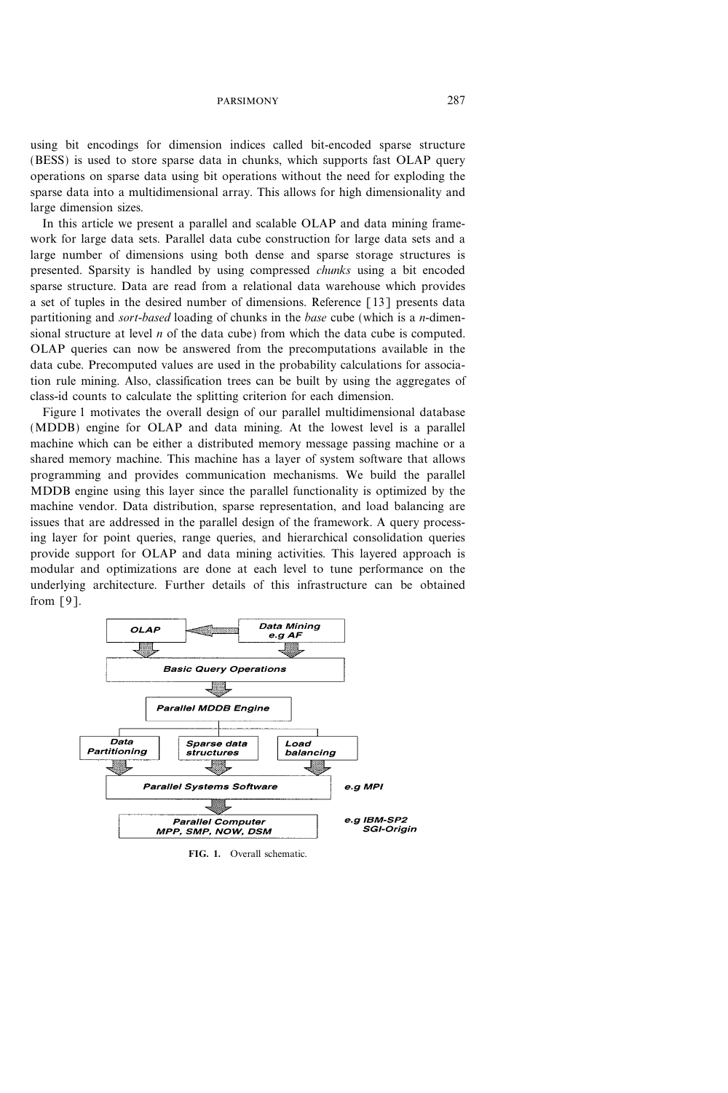PARSIMONY 287

using bit encodings for dimension indices called bit-encoded sparse structure (BESS) is used to store sparse data in chunks, which supports fast OLAP query operations on sparse data using bit operations without the need for exploding the sparse data into a multidimensional array. This allows for high dimensionality and large dimension sizes.

In this article we present a parallel and scalable OLAP and data mining framework for large data sets. Parallel data cube construction for large data sets and a large number of dimensions using both dense and sparse storage structures is presented. Sparsity is handled by using compressed chunks using a bit encoded sparse structure. Data are read from a relational data warehouse which provides a set of tuples in the desired number of dimensions. Reference [13] presents data partitioning and *sort-based* loading of chunks in the *base* cube (which is a *n*-dimensional structure at level  $n$  of the data cube) from which the data cube is computed. OLAP queries can now be answered from the precomputations available in the data cube. Precomputed values are used in the probability calculations for association rule mining. Also, classification trees can be built by using the aggregates of class-id counts to calculate the splitting criterion for each dimension.

Figure 1 motivates the overall design of our parallel multidimensional database (MDDB) engine for OLAP and data mining. At the lowest level is a parallel machine which can be either a distributed memory message passing machine or a shared memory machine. This machine has a layer of system software that allows programming and provides communication mechanisms. We build the parallel MDDB engine using this layer since the parallel functionality is optimized by the machine vendor. Data distribution, sparse representation, and load balancing are issues that are addressed in the parallel design of the framework. A query processing layer for point queries, range queries, and hierarchical consolidation queries provide support for OLAP and data mining activities. This layered approach is modular and optimizations are done at each level to tune performance on the underlying architecture. Further details of this infrastructure can be obtained from [9].



FIG. 1. Overall schematic.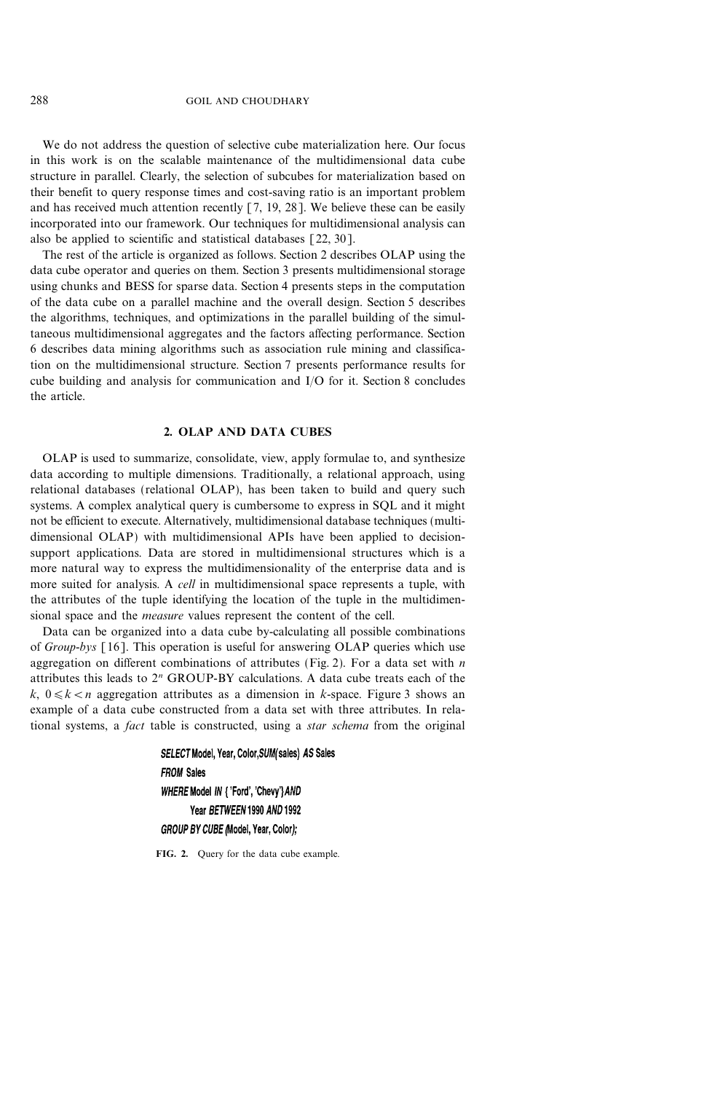We do not address the question of selective cube materialization here. Our focus in this work is on the scalable maintenance of the multidimensional data cube structure in parallel. Clearly, the selection of subcubes for materialization based on their benefit to query response times and cost-saving ratio is an important problem and has received much attention recently [7, 19, 28]. We believe these can be easily incorporated into our framework. Our techniques for multidimensional analysis can also be applied to scientific and statistical databases [22, 30].

The rest of the article is organized as follows. Section 2 describes OLAP using the data cube operator and queries on them. Section 3 presents multidimensional storage using chunks and BESS for sparse data. Section 4 presents steps in the computation of the data cube on a parallel machine and the overall design. Section 5 describes the algorithms, techniques, and optimizations in the parallel building of the simultaneous multidimensional aggregates and the factors affecting performance. Section 6 describes data mining algorithms such as association rule mining and classification on the multidimensional structure. Section 7 presents performance results for cube building and analysis for communication and  $I/O$  for it. Section 8 concludes the article.

# 2. OLAP AND DATA CUBES

OLAP is used to summarize, consolidate, view, apply formulae to, and synthesize data according to multiple dimensions. Traditionally, a relational approach, using relational databases (relational OLAP), has been taken to build and query such systems. A complex analytical query is cumbersome to express in SQL and it might not be efficient to execute. Alternatively, multidimensional database techniques (multidimensional OLAP) with multidimensional APIs have been applied to decisionsupport applications. Data are stored in multidimensional structures which is a more natural way to express the multidimensionality of the enterprise data and is more suited for analysis. A *cell* in multidimensional space represents a tuple, with the attributes of the tuple identifying the location of the tuple in the multidimensional space and the measure values represent the content of the cell.

Data can be organized into a data cube by-calculating all possible combinations of Group-bys [16]. This operation is useful for answering OLAP queries which use aggregation on different combinations of attributes (Fig. 2). For a data set with  $n$ attributes this leads to  $2<sup>n</sup>$  GROUP-BY calculations. A data cube treats each of the k,  $0 \le k \le n$  aggregation attributes as a dimension in k-space. Figure 3 shows an example of a data cube constructed from a data set with three attributes. In relational systems, a *fact* table is constructed, using a *star schema* from the original

> SELECT Model, Year, Color, SUM (sales) AS Sales **FROM Sales** WHERE Model IN {'Ford', 'Chevy'} AND Year BETWEEN 1990 AND 1992 GROUP BY CUBE (Model, Year, Color);

FIG. 2. Query for the data cube example.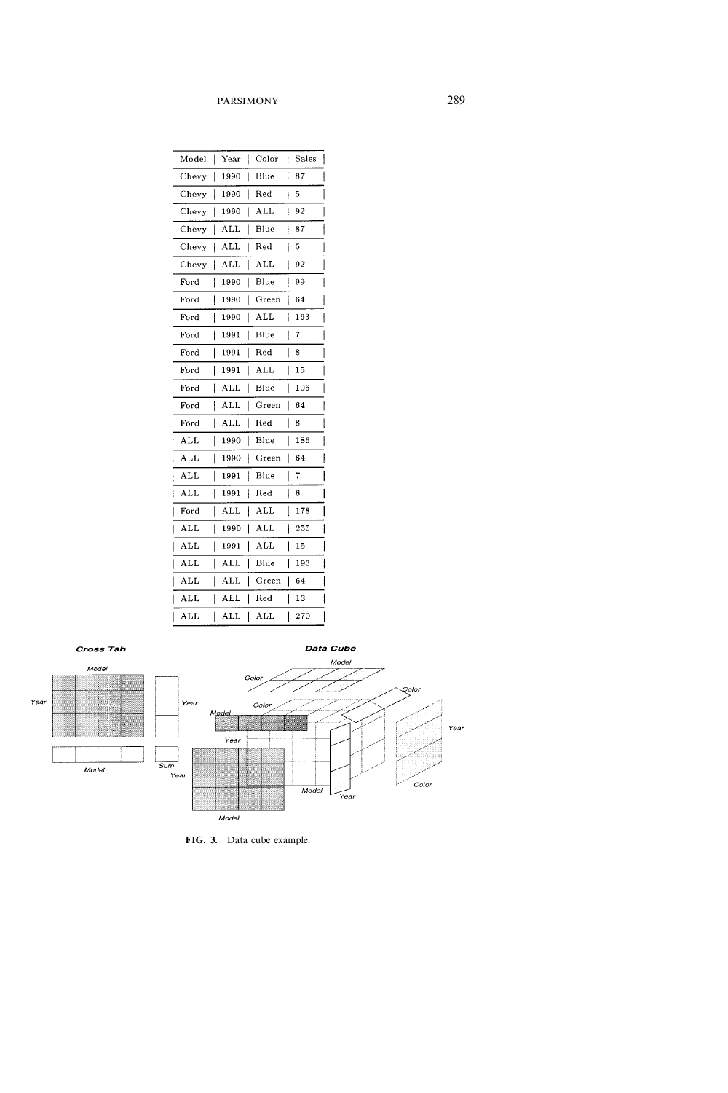| Model        | $\rm Year$<br>I<br>l   | Color<br>ł                        | $\operatorname{Sales}$ |
|--------------|------------------------|-----------------------------------|------------------------|
| Chevy        | I<br>1990<br>I         | Blue<br>I                         | 87                     |
| Chevy        | I<br>ļ<br>1990         | I<br>Red                          | 5                      |
| Chevy        | I<br>ł<br>1990         | ALL<br>I                          | 92                     |
| Chevy        | ALL<br>I<br>۱          | Blue<br>Į                         | 87                     |
| Chevy        | $_{\rm ALL}$<br>I<br>ł | I<br>Red                          | 5                      |
| Chevy        | ALL<br>l<br>I          | <b>ALL</b><br>I                   | 92                     |
| Ford         | I<br>I<br>1990         | Ì<br>Blue                         | 99                     |
| Ford         | I<br>I<br>1990         | Green<br>I                        | 64                     |
| Ford         | I<br>1990<br>ł         | ALL<br>I                          | 163                    |
| Ford         | 1991<br>ł<br>I         | Blue                              | 7                      |
| Ford         | ۱<br>1991              | $_{\rm Red}$                      | 8                      |
| Ford         | I<br>I<br>1991         | <b>ALL</b><br>I                   | 15                     |
| Ford         | $_{\rm ALL}$<br>I<br>I | Blue<br>I                         | 106                    |
| Ford         | ۱<br>ALL               | 1<br>Green                        | 64                     |
| Ford         | $\mathbf{ALL}$<br>I    | Red                               | 8                      |
| ALL          | I<br>1990<br>I         | I<br>Blue                         | 186                    |
| $\hbox{ALL}$ | I<br>ł<br>1990         | $\overline{\phantom{a}}$<br>Green | 64                     |
| ALL          | 1991<br>I<br>I         | Blue                              | 7                      |
| ALL          | I<br>1991<br>I         | Red<br>ł                          | 8                      |
| Ford         | ALL<br>Į               | ALL<br>I                          | 178                    |
| ALL          | ł<br>I<br>1990         | I<br>ALL                          | 255                    |
| <b>ALL</b>   | I<br>I<br>1991         | <b>ALL</b><br>I                   | 15                     |
| ALL          | ALL<br>I<br>I          | Blue<br>ı                         | 193                    |
| ALL          | <b>ALL</b><br>I<br>I   | Green<br>I                        | 64                     |
| $_{\rm ALL}$ | İ<br>ALL<br>I          | I<br>$_{\rm Red}$                 | 13                     |
| ALL          | I<br>I<br>$\hbox{ALL}$ | ALL<br>I                          | 270                    |

Cross Tab



Data Cube

FIG. 3. Data cube example.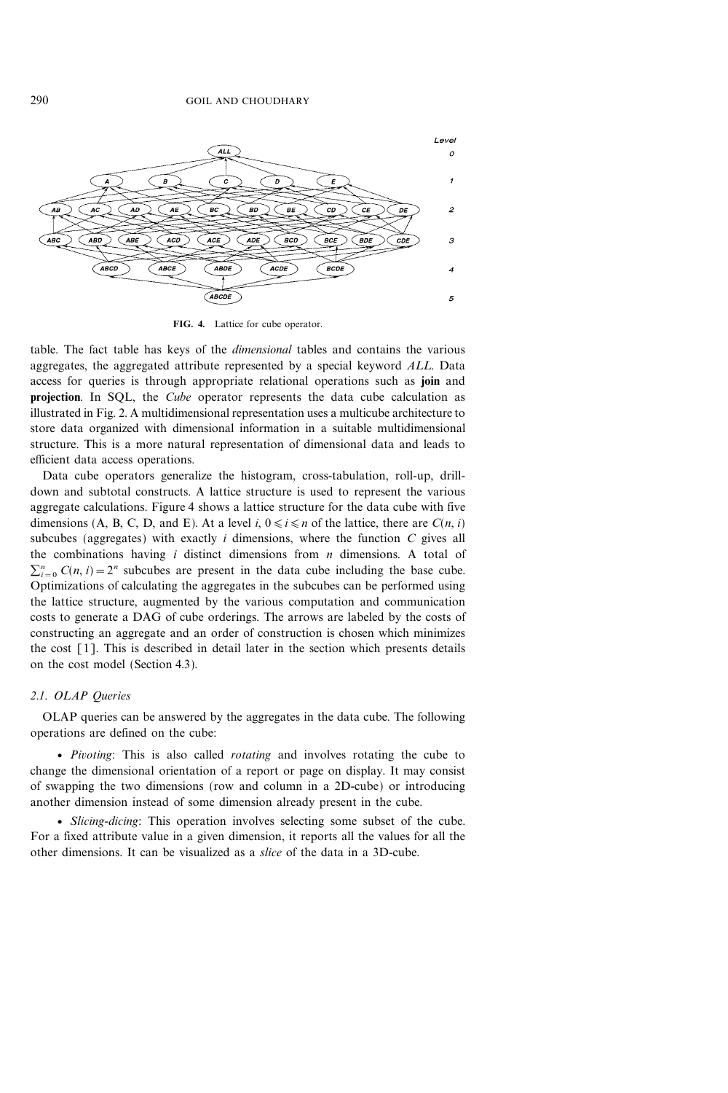

FIG. 4. Lattice for cube operator.

table. The fact table has keys of the *dimensional* tables and contains the various aggregates, the aggregated attribute represented by a special keyword ALL. Data access for queries is through appropriate relational operations such as **join** and projection. In SQL, the Cube operator represents the data cube calculation as illustrated in Fig. 2. A multidimensional representation uses a multicube architecture to store data organized with dimensional information in a suitable multidimensional structure. This is a more natural representation of dimensional data and leads to efficient data access operations.

Data cube operators generalize the histogram, cross-tabulation, roll-up, drilldown and subtotal constructs. A lattice structure is used to represent the various aggregate calculations. Figure 4 shows a lattice structure for the data cube with five dimensions (A, B, C, D, and E). At a level i,  $0 \le i \le n$  of the lattice, there are  $C(n, i)$ subcubes (aggregates) with exactly  $i$  dimensions, where the function  $C$  gives all the combinations having i distinct dimensions from  $n$  dimensions. A total of  $\sum_{i=0}^{n} C(n, i) = 2^{n}$  subcubes are present in the data cube including the base cube. Optimizations of calculating the aggregates in the subcubes can be performed using the lattice structure, augmented by the various computation and communication costs to generate a DAG of cube orderings. The arrows are labeled by the costs of constructing an aggregate and an order of construction is chosen which minimizes the cost [1]. This is described in detail later in the section which presents details on the cost model (Section 4.3).

## 2.1. OLAP Queries

OLAP queries can be answered by the aggregates in the data cube. The following operations are defined on the cube:

• Pivoting: This is also called rotating and involves rotating the cube to change the dimensional orientation of a report or page on display. It may consist of swapping the two dimensions (row and column in a 2D-cube) or introducing another dimension instead of some dimension already present in the cube.

• Slicing-dicing: This operation involves selecting some subset of the cube. For a fixed attribute value in a given dimension, it reports all the values for all the other dimensions. It can be visualized as a slice of the data in a 3D-cube.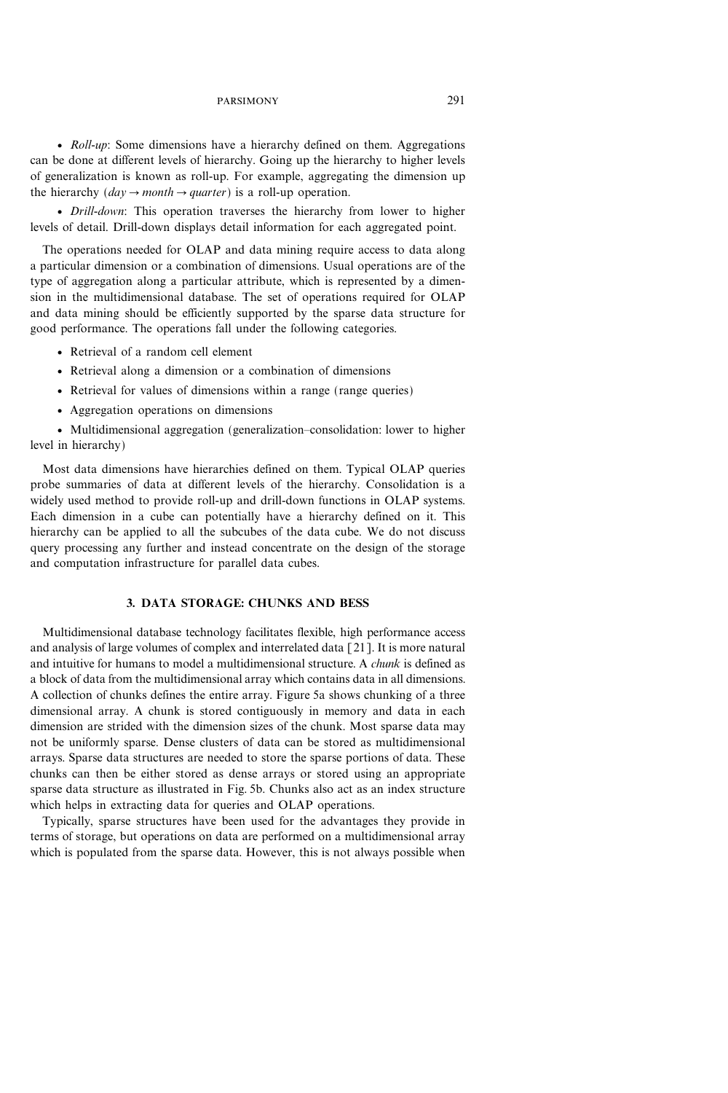• Roll-up: Some dimensions have a hierarchy defined on them. Aggregations can be done at different levels of hierarchy. Going up the hierarchy to higher levels of generalization is known as roll-up. For example, aggregating the dimension up the hierarchy  $(day \rightarrow month \rightarrow quarter)$  is a roll-up operation.

• Drill-down: This operation traverses the hierarchy from lower to higher levels of detail. Drill-down displays detail information for each aggregated point.

The operations needed for OLAP and data mining require access to data along a particular dimension or a combination of dimensions. Usual operations are of the type of aggregation along a particular attribute, which is represented by a dimension in the multidimensional database. The set of operations required for OLAP and data mining should be efficiently supported by the sparse data structure for good performance. The operations fall under the following categories.

- Retrieval of a random cell element
- v Retrieval along a dimension or a combination of dimensions
- Retrieval for values of dimensions within a range (range queries)
- v Aggregation operations on dimensions

• Multidimensional aggregation (generalization-consolidation: lower to higher level in hierarchy)

Most data dimensions have hierarchies defined on them. Typical OLAP queries probe summaries of data at different levels of the hierarchy. Consolidation is a widely used method to provide roll-up and drill-down functions in OLAP systems. Each dimension in a cube can potentially have a hierarchy defined on it. This hierarchy can be applied to all the subcubes of the data cube. We do not discuss query processing any further and instead concentrate on the design of the storage and computation infrastructure for parallel data cubes.

# 3. DATA STORAGE: CHUNKS AND BESS

Multidimensional database technology facilitates flexible, high performance access and analysis of large volumes of complex and interrelated data [21]. It is more natural and intuitive for humans to model a multidimensional structure. A *chunk* is defined as a block of data from the multidimensional array which contains data in all dimensions. A collection of chunks defines the entire array. Figure 5a shows chunking of a three dimensional array. A chunk is stored contiguously in memory and data in each dimension are strided with the dimension sizes of the chunk. Most sparse data may not be uniformly sparse. Dense clusters of data can be stored as multidimensional arrays. Sparse data structures are needed to store the sparse portions of data. These chunks can then be either stored as dense arrays or stored using an appropriate sparse data structure as illustrated in Fig. 5b. Chunks also act as an index structure which helps in extracting data for queries and OLAP operations.

Typically, sparse structures have been used for the advantages they provide in terms of storage, but operations on data are performed on a multidimensional array which is populated from the sparse data. However, this is not always possible when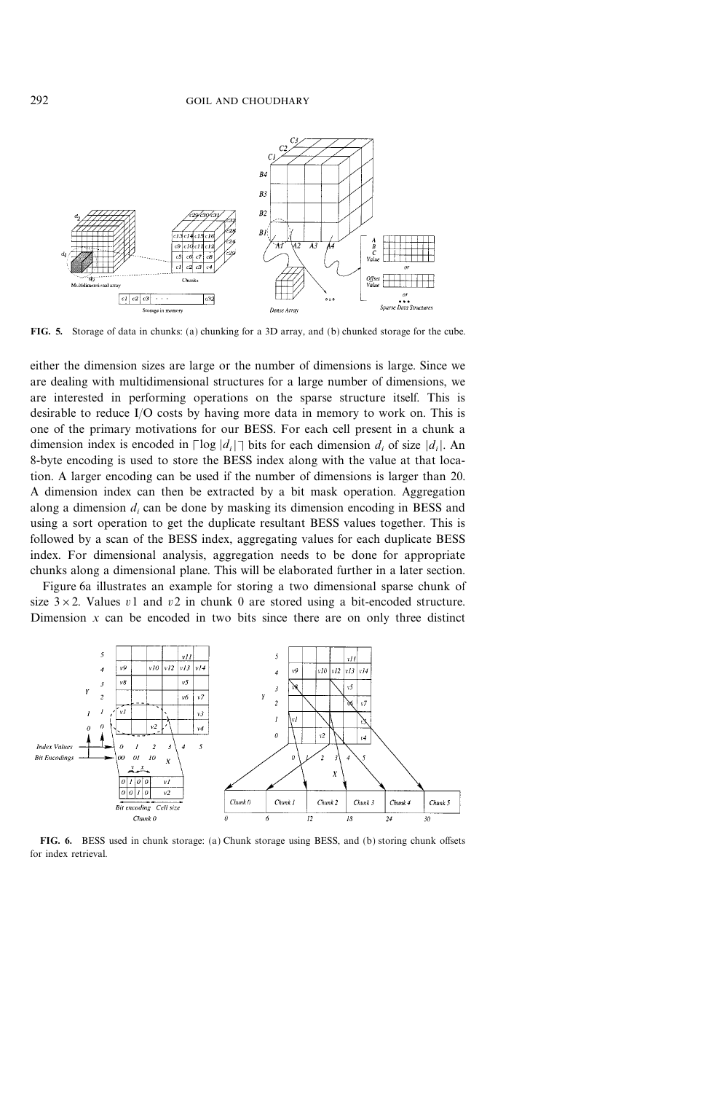

FIG. 5. Storage of data in chunks: (a) chunking for a 3D array, and (b) chunked storage for the cube.

either the dimension sizes are large or the number of dimensions is large. Since we are dealing with multidimensional structures for a large number of dimensions, we are interested in performing operations on the sparse structure itself. This is desirable to reduce  $I/O$  costs by having more data in memory to work on. This is one of the primary motivations for our BESS. For each cell present in a chunk a dimension index is encoded in  $\lceil \log |d_i| \rceil$  bits for each dimension  $d_i$  of size  $|d_i|$ . An 8-byte encoding is used to store the BESS index along with the value at that location. A larger encoding can be used if the number of dimensions is larger than 20. A dimension index can then be extracted by a bit mask operation. Aggregation along a dimension  $d_i$  can be done by masking its dimension encoding in BESS and using a sort operation to get the duplicate resultant BESS values together. This is followed by a scan of the BESS index, aggregating values for each duplicate BESS index. For dimensional analysis, aggregation needs to be done for appropriate chunks along a dimensional plane. This will be elaborated further in a later section.

Figure 6a illustrates an example for storing a two dimensional sparse chunk of size  $3 \times 2$ . Values v1 and v2 in chunk 0 are stored using a bit-encoded structure. Dimension  $x$  can be encoded in two bits since there are on only three distinct



FIG. 6. BESS used in chunk storage: (a) Chunk storage using BESS, and (b) storing chunk offsets for index retrieval.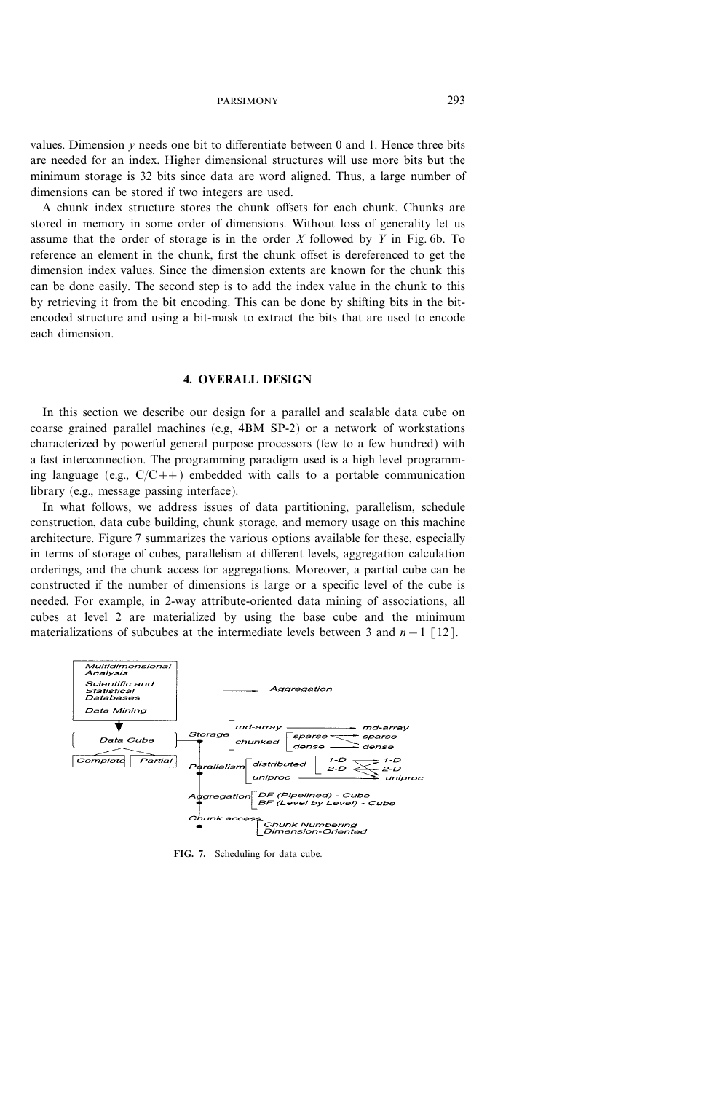values. Dimension  $\nu$  needs one bit to differentiate between 0 and 1. Hence three bits are needed for an index. Higher dimensional structures will use more bits but the minimum storage is 32 bits since data are word aligned. Thus, a large number of dimensions can be stored if two integers are used.

A chunk index structure stores the chunk offsets for each chunk. Chunks are stored in memory in some order of dimensions. Without loss of generality let us assume that the order of storage is in the order  $X$  followed by  $Y$  in Fig. 6b. To reference an element in the chunk, first the chunk offset is dereferenced to get the dimension index values. Since the dimension extents are known for the chunk this can be done easily. The second step is to add the index value in the chunk to this by retrieving it from the bit encoding. This can be done by shifting bits in the bitencoded structure and using a bit-mask to extract the bits that are used to encode each dimension.

## 4. OVERALL DESIGN

In this section we describe our design for a parallel and scalable data cube on coarse grained parallel machines (e.g, 4BM SP-2) or a network of workstations characterized by powerful general purpose processors (few to a few hundred) with a fast interconnection. The programming paradigm used is a high level programming language (e.g.,  $C/C++$ ) embedded with calls to a portable communication library (e.g., message passing interface).

In what follows, we address issues of data partitioning, parallelism, schedule construction, data cube building, chunk storage, and memory usage on this machine architecture. Figure 7 summarizes the various options available for these, especially in terms of storage of cubes, parallelism at different levels, aggregation calculation orderings, and the chunk access for aggregations. Moreover, a partial cube can be constructed if the number of dimensions is large or a specific level of the cube is needed. For example, in 2-way attribute-oriented data mining of associations, all cubes at level 2 are materialized by using the base cube and the minimum materializations of subcubes at the intermediate levels between 3 and  $n-1$  [12].



FIG. 7. Scheduling for data cube.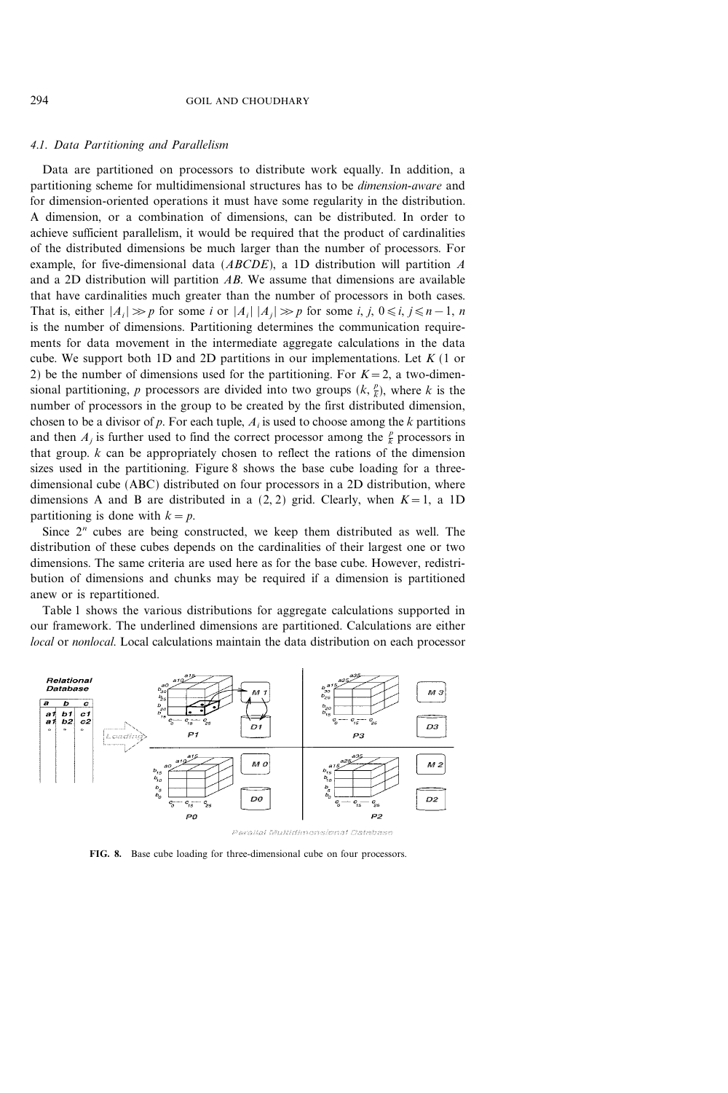#### 4.1. Data Partitioning and Parallelism

Data are partitioned on processors to distribute work equally. In addition, a partitioning scheme for multidimensional structures has to be dimension-aware and for dimension-oriented operations it must have some regularity in the distribution. A dimension, or a combination of dimensions, can be distributed. In order to achieve sufficient parallelism, it would be required that the product of cardinalities of the distributed dimensions be much larger than the number of processors. For example, for five-dimensional data (*ABCDE*), a 1D distribution will partition A and a 2D distribution will partition  $AB$ . We assume that dimensions are available that have cardinalities much greater than the number of processors in both cases. That is, either  $|A_i| \gg p$  for some i or  $|A_i| |A_i| \gg p$  for some i, i,  $0 \le i, j \le n-1, n$ is the number of dimensions. Partitioning determines the communication requirements for data movement in the intermediate aggregate calculations in the data cube. We support both 1D and 2D partitions in our implementations. Let  $K(1)$  or 2) be the number of dimensions used for the partitioning. For  $K=2$ , a two-dimensional partitioning, p processors are divided into two groups  $(k, \frac{p}{k})$ , where k is the number of processors in the group to be created by the first distributed dimension, chosen to be a divisor of p. For each tuple,  $A_i$  is used to choose among the k partitions and then  $A_j$  is further used to find the correct processor among the  $\frac{p}{k}$  processors in that group.  $k$  can be appropriately chosen to reflect the rations of the dimension sizes used in the partitioning. Figure 8 shows the base cube loading for a threedimensional cube (ABC) distributed on four processors in a 2D distribution, where dimensions A and B are distributed in a  $(2, 2)$  grid. Clearly, when  $K=1$ , a 1D partitioning is done with  $k=p$ .

Since  $2<sup>n</sup>$  cubes are being constructed, we keep them distributed as well. The distribution of these cubes depends on the cardinalities of their largest one or two dimensions. The same criteria are used here as for the base cube. However, redistribution of dimensions and chunks may be required if a dimension is partitioned anew or is repartitioned.

Table 1 shows the various distributions for aggregate calculations supported in our framework. The underlined dimensions are partitioned. Calculations are either local or nonlocal. Local calculations maintain the data distribution on each processor



Parallel Multidimonsionaf Datebase

FIG. 8. Base cube loading for three-dimensional cube on four processors.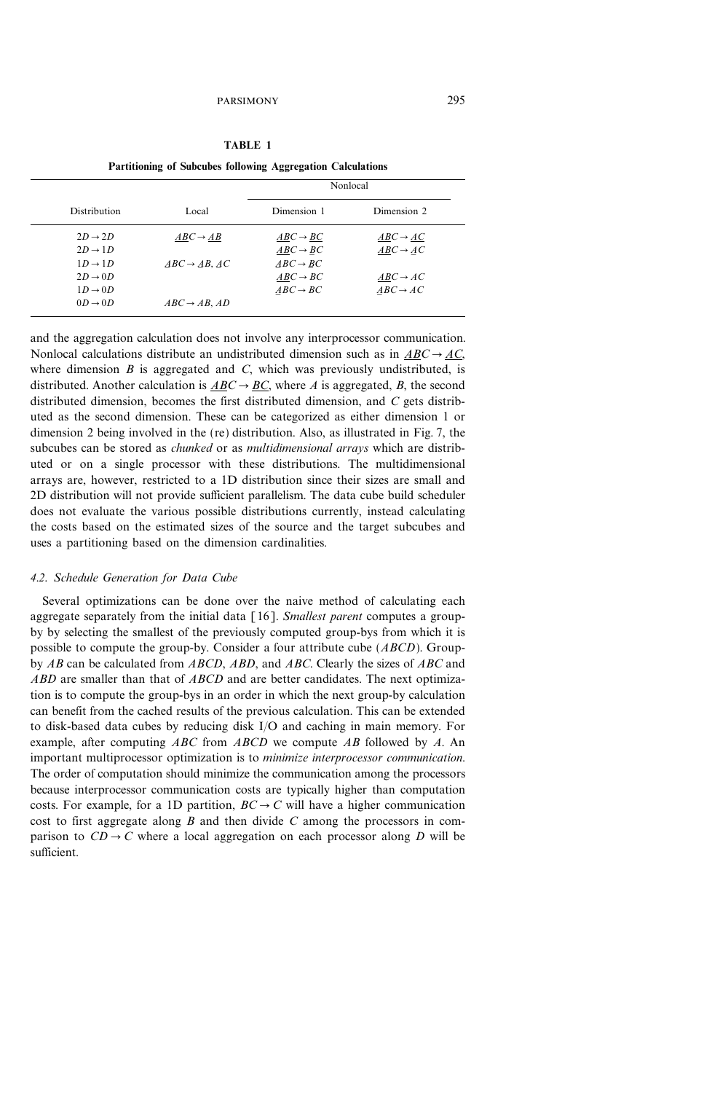#### TABLE 1

|                     |                          | Nonlocal             |                      |  |
|---------------------|--------------------------|----------------------|----------------------|--|
| Distribution        | Local.                   | Dimension 1          | Dimension 2          |  |
| $2D \rightarrow 2D$ | $ABC \rightarrow AB$     | $ABC \rightarrow BC$ | $ABC \rightarrow AC$ |  |
| $2D \rightarrow 1D$ |                          | $ABC \rightarrow BC$ | $ABC \rightarrow AC$ |  |
| $1D \rightarrow 1D$ | $ABC \rightarrow AB, AC$ | $ABC \rightarrow BC$ |                      |  |
| $2D \rightarrow 0D$ |                          | $ABC \rightarrow BC$ | $ABC \rightarrow AC$ |  |
| $1D \rightarrow 0D$ |                          | $ABC \rightarrow BC$ | $ABC \rightarrow AC$ |  |
| $0D \rightarrow 0D$ | $ABC \rightarrow AB, AD$ |                      |                      |  |

Partitioning of Subcubes following Aggregation Calculations

and the aggregation calculation does not involve any interprocessor communication. Nonlocal calculations distribute an undistributed dimension such as in  $\angle ABC \rightarrow \angle AC$ , where dimension  $B$  is aggregated and  $C$ , which was previously undistributed, is distributed. Another calculation is  $\angle ABC \rightarrow BC$ , where A is aggregated, B, the second distributed dimension, becomes the first distributed dimension, and C gets distributed as the second dimension. These can be categorized as either dimension 1 or dimension 2 being involved in the (re) distribution. Also, as illustrated in Fig. 7, the subcubes can be stored as *chunked* or as *multidimensional arrays* which are distributed or on a single processor with these distributions. The multidimensional arrays are, however, restricted to a 1D distribution since their sizes are small and 2D distribution will not provide sufficient parallelism. The data cube build scheduler does not evaluate the various possible distributions currently, instead calculating the costs based on the estimated sizes of the source and the target subcubes and uses a partitioning based on the dimension cardinalities.

## 4.2. Schedule Generation for Data Cube

Several optimizations can be done over the naive method of calculating each aggregate separately from the initial data [16]. Smallest parent computes a groupby by selecting the smallest of the previously computed group-bys from which it is possible to compute the group-by. Consider a four attribute cube (ABCD). Groupby  $AB$  can be calculated from  $ABCD$ ,  $ABD$ , and  $ABC$ . Clearly the sizes of  $ABC$  and ABD are smaller than that of ABCD and are better candidates. The next optimization is to compute the group-bys in an order in which the next group-by calculation can benefit from the cached results of the previous calculation. This can be extended to disk-based data cubes by reducing disk I/O and caching in main memory. For example, after computing  $ABC$  from  $ABCD$  we compute AB followed by A. An important multiprocessor optimization is to minimize interprocessor communication. The order of computation should minimize the communication among the processors because interprocessor communication costs are typically higher than computation costs. For example, for a 1D partition,  $BC \rightarrow C$  will have a higher communication cost to first aggregate along  $B$  and then divide  $C$  among the processors in comparison to  $CD \rightarrow C$  where a local aggregation on each processor along D will be sufficient.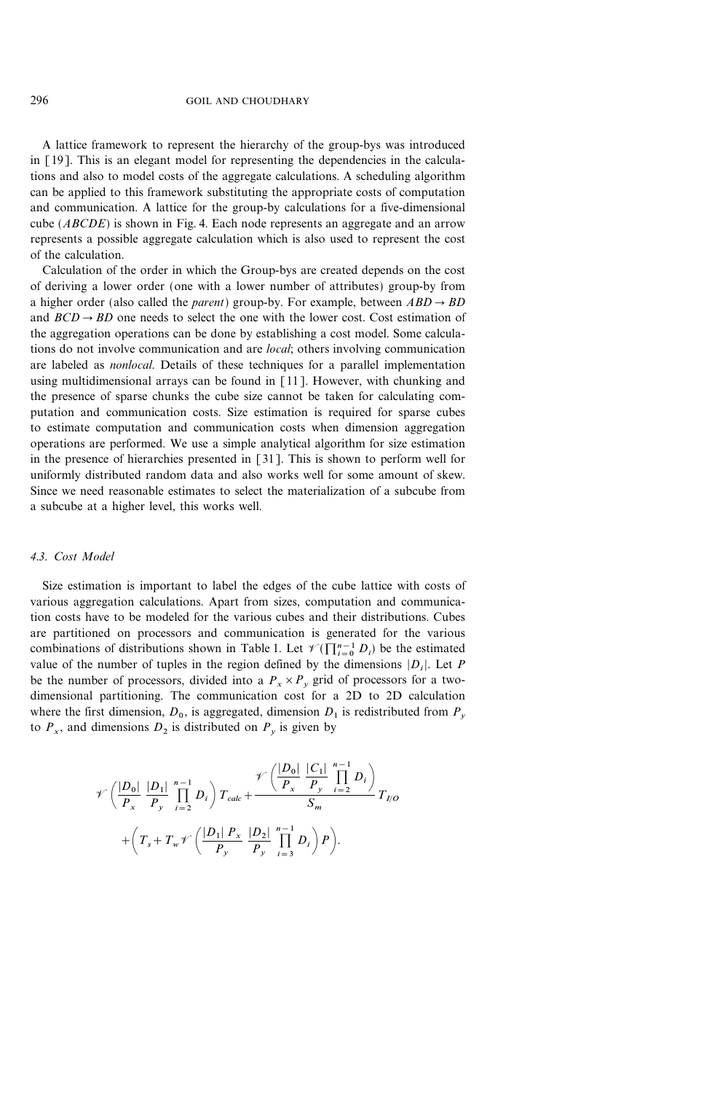A lattice framework to represent the hierarchy of the group-bys was introduced in [19]. This is an elegant model for representing the dependencies in the calculations and also to model costs of the aggregate calculations. A scheduling algorithm can be applied to this framework substituting the appropriate costs of computation and communication. A lattice for the group-by calculations for a five-dimensional cube (ABCDE) is shown in Fig. 4. Each node represents an aggregate and an arrow represents a possible aggregate calculation which is also used to represent the cost of the calculation.

Calculation of the order in which the Group-bys are created depends on the cost of deriving a lower order (one with a lower number of attributes) group-by from a higher order (also called the *parent*) group-by. For example, between  $ABD \rightarrow BD$ and  $BCD \rightarrow BD$  one needs to select the one with the lower cost. Cost estimation of the aggregation operations can be done by establishing a cost model. Some calculations do not involve communication and are *local*; others involving communication are labeled as *nonlocal*. Details of these techniques for a parallel implementation using multidimensional arrays can be found in [11]. However, with chunking and the presence of sparse chunks the cube size cannot be taken for calculating computation and communication costs. Size estimation is required for sparse cubes to estimate computation and communication costs when dimension aggregation operations are performed. We use a simple analytical algorithm for size estimation in the presence of hierarchies presented in [31]. This is shown to perform well for uniformly distributed random data and also works well for some amount of skew. Since we need reasonable estimates to select the materialization of a subcube from a subcube at a higher level, this works well.

# 4.3. Cost Model

Size estimation is important to label the edges of the cube lattice with costs of various aggregation calculations. Apart from sizes, computation and communication costs have to be modeled for the various cubes and their distributions. Cubes are partitioned on processors and communication is generated for the various combinations of distributions shown in Table 1. Let  $\mathcal{V}(\prod_{i=0}^{n-1} D_i)$  be the estimated value of the number of tuples in the region defined by the dimensions  $|D_i|$ . Let P be the number of processors, divided into a  $P_x \times P_y$  grid of processors for a twodimensional partitioning. The communication cost for a 2D to 2D calculation where the first dimension,  $D_0$ , is aggregated, dimension  $D_1$  is redistributed from  $P_y$ to  $P_x$ , and dimensions  $D_2$  is distributed on  $P_y$  is given by

$$
\mathscr{V}\left(\frac{|D_0|}{P_x}\frac{|D_1|}{P_y}\prod_{i=2}^{n-1} D_i\right) T_{calc} + \frac{\mathscr{V}\left(\frac{|D_0|}{P_x}\frac{|C_1|}{P_y}\prod_{i=2}^{n-1} D_i\right)}{S_m} T_{I/O}
$$

$$
+ \left(T_s + T_w \mathscr{V}\left(\frac{|D_1|}{P_y}\frac{|D_2|}{P_y}\prod_{i=3}^{n-1} D_i\right) P\right).
$$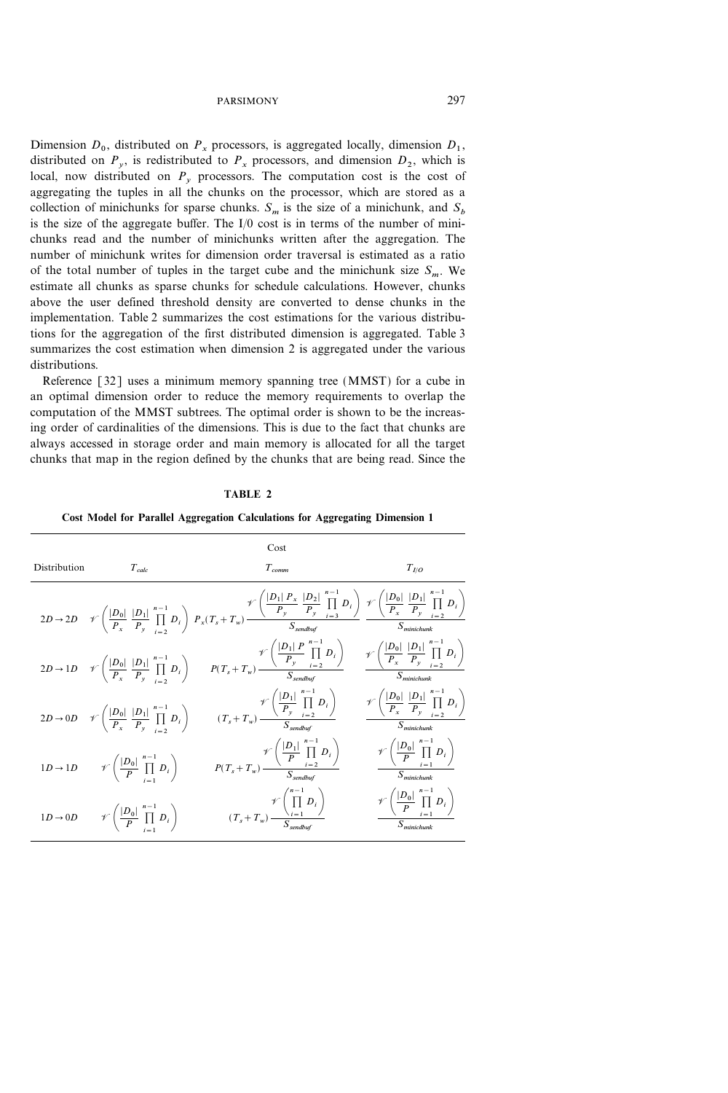Dimension  $D_0$ , distributed on  $P_x$  processors, is aggregated locally, dimension  $D_1$ , distributed on  $P_y$ , is redistributed to  $P_x$  processors, and dimension  $D_2$ , which is local, now distributed on  $P_y$  processors. The computation cost is the cost of aggregating the tuples in all the chunks on the processor, which are stored as a collection of minichunks for sparse chunks.  $S_m$  is the size of a minichunk, and  $S_b$ is the size of the aggregate buffer. The  $I/0$  cost is in terms of the number of minichunks read and the number of minichunks written after the aggregation. The number of minichunk writes for dimension order traversal is estimated as a ratio of the total number of tuples in the target cube and the minichunk size  $S_m$ . We estimate all chunks as sparse chunks for schedule calculations. However, chunks above the user defined threshold density are converted to dense chunks in the implementation. Table 2 summarizes the cost estimations for the various distributions for the aggregation of the first distributed dimension is aggregated. Table 3 summarizes the cost estimation when dimension 2 is aggregated under the various distributions.

Reference [32] uses a minimum memory spanning tree (MMST) for a cube in an optimal dimension order to reduce the memory requirements to overlap the computation of the MMST subtrees. The optimal order is shown to be the increasing order of cardinalities of the dimensions. This is due to the fact that chunks are always accessed in storage order and main memory is allocated for all the target chunks that map in the region defined by the chunks that are being read. Since the

|                     |                                                                                    | Cost                                                                                                                                                                                                                                                                                                                                                                        |                                                                |
|---------------------|------------------------------------------------------------------------------------|-----------------------------------------------------------------------------------------------------------------------------------------------------------------------------------------------------------------------------------------------------------------------------------------------------------------------------------------------------------------------------|----------------------------------------------------------------|
| Distribution        | $T_{calc}$                                                                         | $T_{comm}$                                                                                                                                                                                                                                                                                                                                                                  | $T_{I\!/\!O}$                                                  |
|                     |                                                                                    | $2D \rightarrow 2D \quad \mathscr{V}\left(\frac{ D_0 }{P_x}\cdot\frac{ D_1 }{P_y}\cdot\prod_{i=2}^{n-1}D_i\right)\cdot P_x(T_s+T_w)\frac{\mathscr{V}\left(\frac{ D_1 }{P_y}\cdot\frac{ D_2 }{P_y}\cdot\prod_{i=3}^{n-1}D_i\right)}{\cdot S_{sendbut}} \frac{\mathscr{V}\left(\frac{ D_0 }{P_x}\cdot\frac{ D_1 }{P_y}\cdot\prod_{i=2}^{n-1}D_i\right)}{\cdot S_{simichunk}}$ | $S_{minichunk}$                                                |
|                     |                                                                                    | $2D \rightarrow 1D \qquad \mathcal{V}\left(\frac{ D_0 }{P_x} \cdot \frac{ D_1 }{P_y} \cdot \prod_{i=2}^{n-1} D_i\right) \qquad P(T_s + T_w) \frac{\mathcal{V}\left(\frac{ D_1 }{P_y} \cdot \prod_{i=2}^{n-1} D_i\right)}{S_{sendbut}} \qquad \frac{\mathcal{V}\left(\frac{ D_0 }{P_x} \cdot \frac{ D_1 }{P_y} \cdot \prod_{i=2}^{n-1} D_i\right)}{S_{minichunk}}$           | $S_{minichunk}$                                                |
|                     |                                                                                    | $2D\rightarrow 0\ \mathcal{D} \qquad \mathcal{V}\left(\frac{ D_0 }{P_x}\ \frac{ D_1 }{P_y}\ \prod^{n-1}_{i=2} D_i\right) \qquad \quad \left(T_s+T_w\right) \frac{\mathcal{V}\left(\frac{ D_1 }{P_y}\ \prod^{n-1}_{i=2} D_i\right)}{S_{\dots n-s}} \qquad \qquad \frac{\mathcal{V}\left(\frac{ D_0 }{P_x}\ \frac{ D_1 }{P_y}\ \prod^{n-1}_{i=2} D_i\right)}{S_{\dots n-s}}$  | $S_{minichunk}$                                                |
|                     | $1D \rightarrow 1D$ $\mathscr{V}\left(\frac{ D_0 }{P}\prod_{i=1}^{n-1} D_i\right)$ | $P(T_s+T_w)\frac{\mathcal{V}\left(\frac{ D_1 }{P}\prod_{i=2}^{n-1}D_i\right)}{S}$                                                                                                                                                                                                                                                                                           | $\mathscr{V}\left(\frac{ D_0 }{P}\prod_{i=1}^{n-1} D_i\right)$ |
| $1D \rightarrow 0D$ | $\mathscr{N}\left(\frac{ D_0 }{P}\prod_{i=1}^{n-1} D_i\right)$                     | $(T_s+T_w)\frac{\mathscr{V}\left(\prod\limits_{i=1}^{r} D_i\right)}{C}$                                                                                                                                                                                                                                                                                                     | $\mathscr{V}\left(\frac{ D_0 }{P}\prod_{i=1}^{n-1} D_i\right)$ |

TABLE 2

Cost Model for Parallel Aggregation Calculations for Aggregating Dimension 1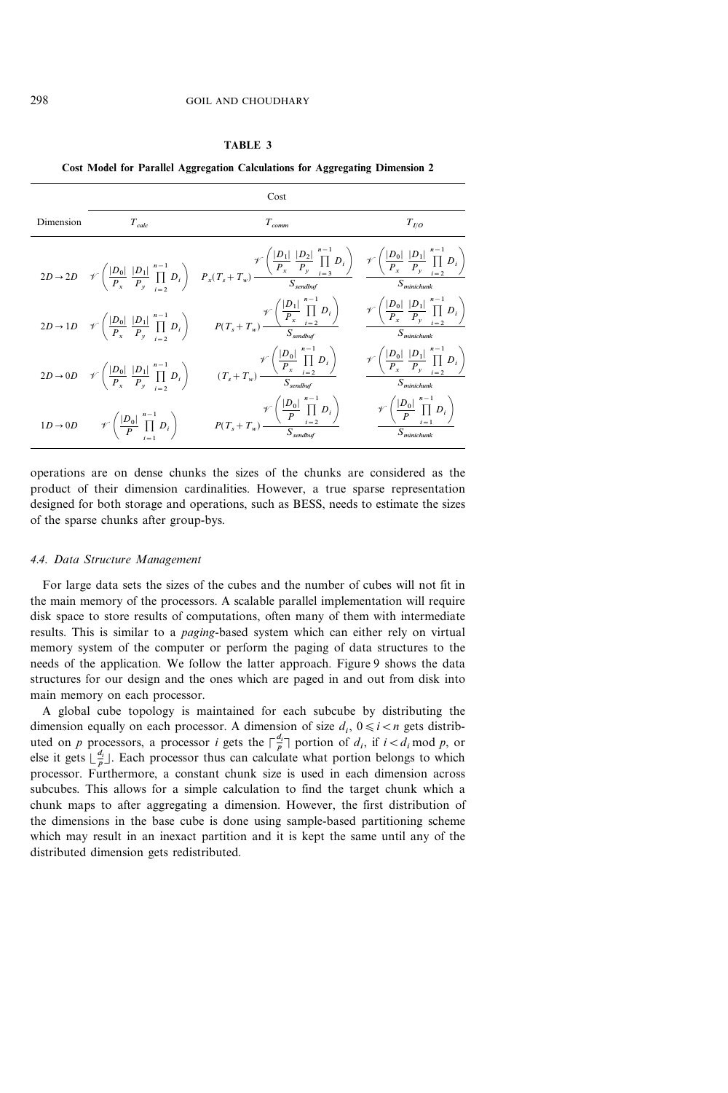#### TABLE 3

|           |            | Cost information a arafiel Aggregation Calculations for Aggregating Difficultion 2                                                                                                                                                                                                                                                                                       |                              |
|-----------|------------|--------------------------------------------------------------------------------------------------------------------------------------------------------------------------------------------------------------------------------------------------------------------------------------------------------------------------------------------------------------------------|------------------------------|
|           |            | Cost                                                                                                                                                                                                                                                                                                                                                                     |                              |
| Dimension | $T_{calc}$ | $T_{\mathit{comm}}$                                                                                                                                                                                                                                                                                                                                                      | $T_{I/O}$                    |
|           |            | $2D \rightarrow 2D \qquad \mathcal{V}\left(\frac{ D_0 }{P_x} \cdot \frac{ D_1 }{P_y} \prod_{i=2}^{n-1} D_i\right) \qquad P_x(T_s + T_w) \frac{\mathcal{V}\left(\frac{ D_1 }{P_x} \cdot \frac{ D_2 }{P_y} \prod_{i=3}^{n-1} D_i\right)}{S_{sendbyf}} \qquad \frac{\mathcal{V}\left(\frac{ D_0 }{P_x} \cdot \frac{ D_1 }{P_y} \prod_{i=2}^{n-1} D_i\right)}{S_{minchunk}}$ |                              |
|           |            | $2D \rightarrow 1D \qquad \mathcal{V}\left(\frac{ D_0 }{P_x} \cdot \frac{ D_1 }{P_y} \cdot \prod_{i=1}^{n-1} D_i\right) \qquad \qquad P(T_s + T_w) \frac{\mathcal{V}\left(\frac{ D_1 }{P_x} \cdot \prod_{i=2}^{n-1} D_i\right)}{\sum_{\text{complete}} \qquad \qquad \mathcal{V}\left(\frac{ D_0 }{P_x} \cdot \frac{ D_1 }{P_y} \cdot \prod_{i=2}^{n-1} D_i\right)}$     | $\boldsymbol{S}_{minichunk}$ |
|           |            | $2D\rightarrow 0\qquad \quad \mathcal{V}\left(\frac{ D_0 }{P_x}\cdot\frac{ D_1 }{P_y}\prod_{i=2}^{n-1}D_i\right) \qquad \quad \left(T_s+T_w\right)\frac{\mathcal{V}\left(\frac{ D_0 }{P_x}\cdot\prod_{i=2}^{n-1}D_i\right)}{S_{\textit{comfluit}}}\qquad \quad \quad \mathcal{V}\left(\frac{ D_0 }{P_x}\cdot\frac{ D_1 }{P_y}\prod_{i=2}^{n-1}D_i\right)$                |                              |

Cost Model for Parallel Aggregation Calculations for Aggregating Dimension 2

operations are on dense chunks the sizes of the chunks are considered as the product of their dimension cardinalities. However, a true sparse representation designed for both storage and operations, such as BESS, needs to estimate the sizes of the sparse chunks after group-bys.

 $\mathscr{V}\left(\frac{|D_0|}{P}\prod_{i=1}^{n-1}$ 

 $S_{sendbuf}$ 

 $n-1$  $\prod_{i=2}^{n-1} D_i$ 

 $V \left( \frac{|D_0|}{P} \prod_{i=1}^{n-1} \right)$ 

 $S_{\textit{minichunk}}$ 

 $n-1$  $\prod_{i=1} D_i$  $\left( \frac{1}{2} \right)$ 

#### 4.4. Data Structure Management

 $1D \rightarrow 0D$   $\mathscr{V}\left(\frac{|D_0|}{P}\prod_{i=1}^{n-1}$ 

 $n-1$ 

 $\prod_{i=1}^{n-1} D_i$   $P(T_s + T_w)$ 

For large data sets the sizes of the cubes and the number of cubes will not fit in the main memory of the processors. A scalable parallel implementation will require disk space to store results of computations, often many of them with intermediate results. This is similar to a *paging*-based system which can either rely on virtual memory system of the computer or perform the paging of data structures to the needs of the application. We follow the latter approach. Figure 9 shows the data structures for our design and the ones which are paged in and out from disk into main memory on each processor.

A global cube topology is maintained for each subcube by distributing the dimension equally on each processor. A dimension of size  $d_i$ ,  $0 \le i \le n$  gets distributed on p processors, a processor i gets the  $\lceil \frac{d_i}{p} \rceil$  portion of  $d_i$ , if  $i < d_i \bmod p$ , or else it gets  $\lfloor \frac{d_i}{p} \rfloor$ . Each processor thus can calculate what portion belongs to which processor. Furthermore, a constant chunk size is used in each dimension across subcubes. This allows for a simple calculation to find the target chunk which a chunk maps to after aggregating a dimension. However, the first distribution of the dimensions in the base cube is done using sample-based partitioning scheme which may result in an inexact partition and it is kept the same until any of the distributed dimension gets redistributed.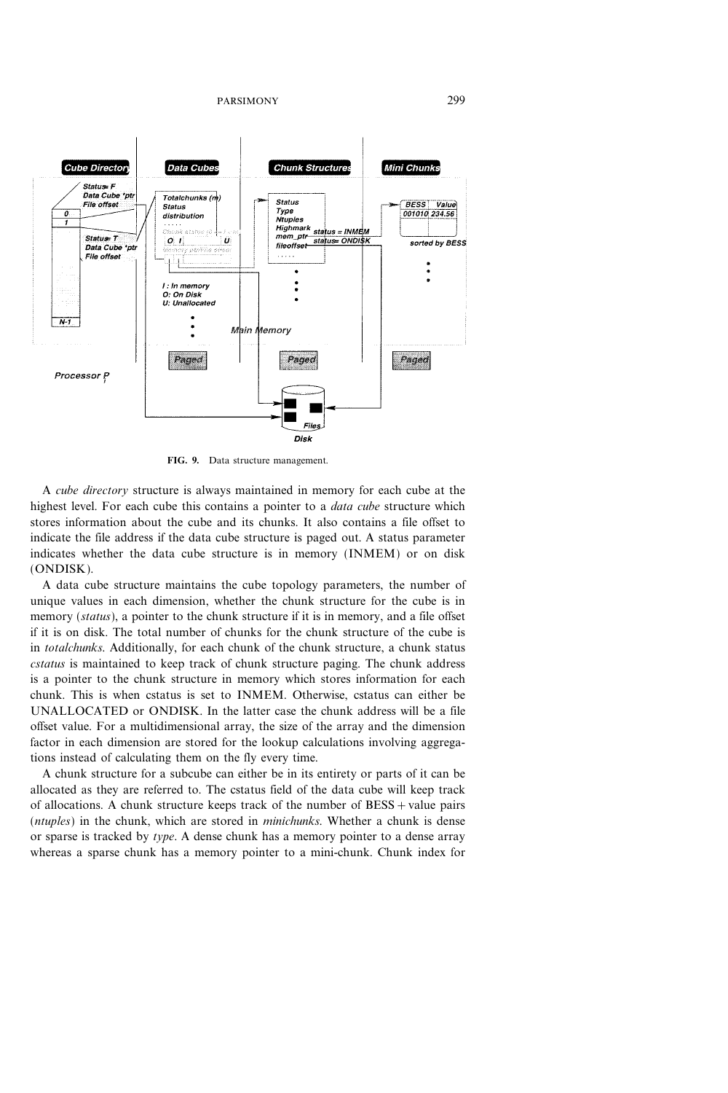

FIG. 9. Data structure management.

A *cube directory* structure is always maintained in memory for each cube at the highest level. For each cube this contains a pointer to a *data cube* structure which stores information about the cube and its chunks. It also contains a file offset to indicate the file address if the data cube structure is paged out. A status parameter indicates whether the data cube structure is in memory (INMEM) or on disk (ONDISK).

A data cube structure maintains the cube topology parameters, the number of unique values in each dimension, whether the chunk structure for the cube is in memory *(status)*, a pointer to the chunk structure if it is in memory, and a file offset if it is on disk. The total number of chunks for the chunk structure of the cube is in *totalchunks*. Additionally, for each chunk of the chunk structure, a chunk status cstatus is maintained to keep track of chunk structure paging. The chunk address is a pointer to the chunk structure in memory which stores information for each chunk. This is when cstatus is set to INMEM. Otherwise, cstatus can either be UNALLOCATED or ONDISK. In the latter case the chunk address will be a file offset value. For a multidimensional array, the size of the array and the dimension factor in each dimension are stored for the lookup calculations involving aggregations instead of calculating them on the fly every time.

A chunk structure for a subcube can either be in its entirety or parts of it can be allocated as they are referred to. The cstatus field of the data cube will keep track of allocations. A chunk structure keeps track of the number of  $BESS + value$  pairs (ntuples) in the chunk, which are stored in minichunks. Whether a chunk is dense or sparse is tracked by *type*. A dense chunk has a memory pointer to a dense array whereas a sparse chunk has a memory pointer to a mini-chunk. Chunk index for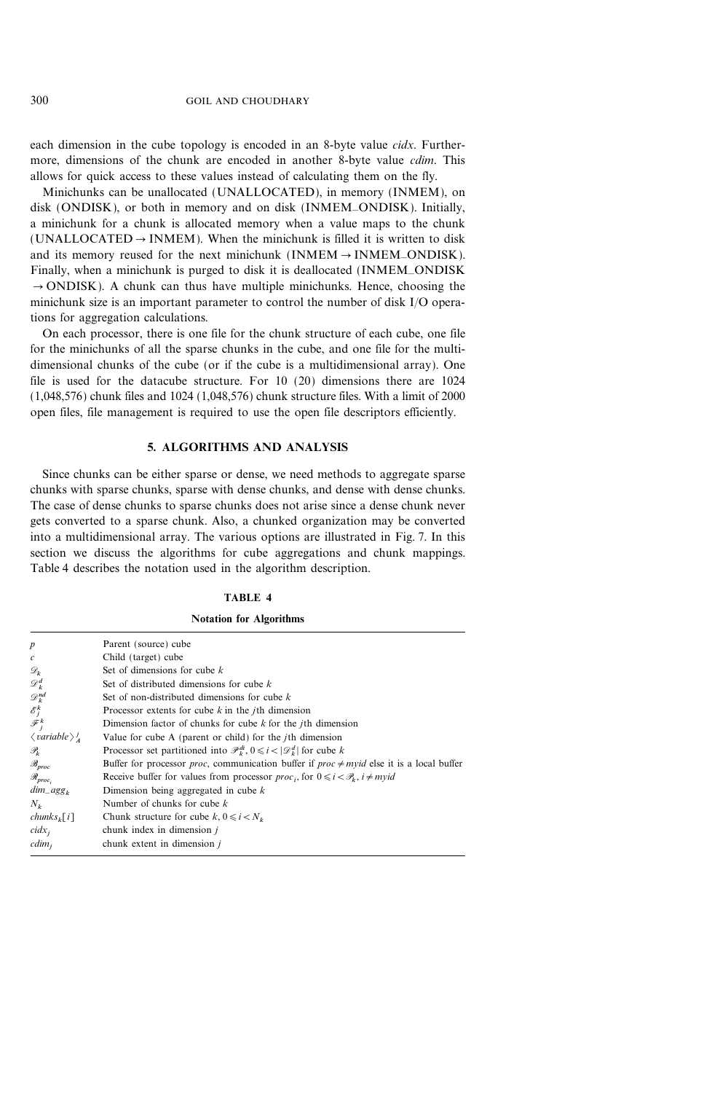each dimension in the cube topology is encoded in an 8-byte value *cidx*. Furthermore, dimensions of the chunk are encoded in another 8-byte value *cdim*. This allows for quick access to these values instead of calculating them on the fly.

Minichunks can be unallocated (UNALLOCATED), in memory (INMEM), on disk ( $ONDISK$ ), or both in memory and on disk ( $INMEM$  $ONDISK$ ). Initially, a minichunk for a chunk is allocated memory when a value maps to the chunk (UNALLOCATED  $\rightarrow$  INMEM). When the minichunk is filled it is written to disk and its memory reused for the next minichunk (INMEM $\rightarrow$ INMEM $\rightarrow$ ONDISK). Finally, when a minichunk is purged to disk it is deallocated (INMEM\_ONDISK  $\rightarrow$  ONDISK). A chunk can thus have multiple minichunks. Hence, choosing the minichunk size is an important parameter to control the number of disk I/O operations for aggregation calculations.

On each processor, there is one file for the chunk structure of each cube, one file for the minichunks of all the sparse chunks in the cube, and one file for the multidimensional chunks of the cube (or if the cube is a multidimensional array). One file is used for the datacube structure. For 10 (20) dimensions there are 1024 (1,048,576) chunk files and 1024 (1,048,576) chunk structure files. With a limit of 2000 open files, file management is required to use the open file descriptors efficiently.

# 5. ALGORITHMS AND ANALYSIS

Since chunks can be either sparse or dense, we need methods to aggregate sparse chunks with sparse chunks, sparse with dense chunks, and dense with dense chunks. The case of dense chunks to sparse chunks does not arise since a dense chunk never gets converted to a sparse chunk. Also, a chunked organization may be converted into a multidimensional array. The various options are illustrated in Fig. 7. In this section we discuss the algorithms for cube aggregations and chunk mappings. Table 4 describes the notation used in the algorithm description.

## TABLE 4

## Notation for Algorithms

| p                                     | Parent (source) cube                                                                                                |
|---------------------------------------|---------------------------------------------------------------------------------------------------------------------|
| $\mathcal{C}_{\mathcal{C}}$           | Child (target) cube                                                                                                 |
| $\mathscr{D}_k$                       | Set of dimensions for cube $k$                                                                                      |
| $\mathscr{D}_k^d$                     | Set of distributed dimensions for cube $k$                                                                          |
| $\mathscr{D}_k^{nd}$                  | Set of non-distributed dimensions for cube $k$                                                                      |
| $\mathscr{E}^k_j$                     | Processor extents for cube $k$ in the <i>j</i> th dimension                                                         |
| $\bar{\mathcal{F}}_i^k$               | Dimension factor of chunks for cube $k$ for the <i>j</i> th dimension                                               |
| $\langle \text{variable} \rangle_A^j$ | Value for cube A (parent or child) for the <i>j</i> th dimension                                                    |
| $\mathscr{P}_k$                       | Processor set partitioned into $\mathcal{P}_k^{di}$ , $0 \le i <  \mathcal{D}_k^d $ for cube k                      |
| $\mathscr{B}_{proc}$                  | Buffer for processor <i>proc</i> , communication buffer if <i>proc</i> $\neq$ <i>myid</i> else it is a local buffer |
| $\mathscr{R}_{proc_i}$                | Receive buffer for values from processor $proc_i$ , for $0 \le i < P_k$ , $i \ne myid$                              |
| $dim\_agg_k$                          | Dimension being aggregated in cube $k$                                                                              |
| $N_k$                                 | Number of chunks for cube $k$                                                                                       |
| $\textit{chunks}_k[i]$                | Chunk structure for cube $k, 0 \le i \le N_k$                                                                       |
| $cidx_i$                              | chunk index in dimension j                                                                                          |
| $cdim_i$                              | chunk extent in dimension j                                                                                         |
|                                       |                                                                                                                     |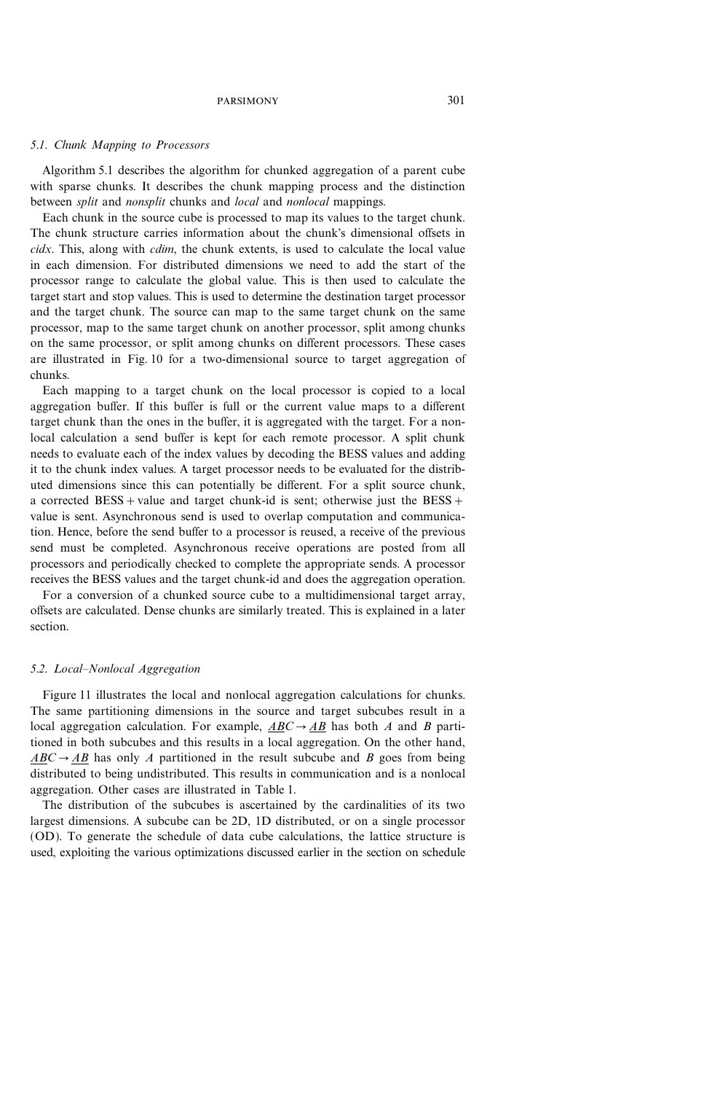#### 5.1. Chunk Mapping to Processors

Algorithm 5.1 describes the algorithm for chunked aggregation of a parent cube with sparse chunks. It describes the chunk mapping process and the distinction between *split* and *nonsplit* chunks and *local* and *nonlocal* mappings.

Each chunk in the source cube is processed to map its values to the target chunk. The chunk structure carries information about the chunk's dimensional offsets in  $cidx$ . This, along with  $cdim$ , the chunk extents, is used to calculate the local value in each dimension. For distributed dimensions we need to add the start of the processor range to calculate the global value. This is then used to calculate the target start and stop values. This is used to determine the destination target processor and the target chunk. The source can map to the same target chunk on the same processor, map to the same target chunk on another processor, split among chunks on the same processor, or split among chunks on different processors. These cases are illustrated in Fig. 10 for a two-dimensional source to target aggregation of chunks.

Each mapping to a target chunk on the local processor is copied to a local aggregation buffer. If this buffer is full or the current value maps to a different target chunk than the ones in the buffer, it is aggregated with the target. For a nonlocal calculation a send buffer is kept for each remote processor. A split chunk needs to evaluate each of the index values by decoding the BESS values and adding it to the chunk index values. A target processor needs to be evaluated for the distributed dimensions since this can potentially be different. For a split source chunk, a corrected  $BESS + value$  and target chunk-id is sent; otherwise just the  $BESS +$ value is sent. Asynchronous send is used to overlap computation and communication. Hence, before the send buffer to a processor is reused, a receive of the previous send must be completed. Asynchronous receive operations are posted from all processors and periodically checked to complete the appropriate sends. A processor receives the BESS values and the target chunk-id and does the aggregation operation.

For a conversion of a chunked source cube to a multidimensional target array, offsets are calculated. Dense chunks are similarly treated. This is explained in a later section.

#### 5.2. Local-Nonlocal Aggregation

Figure 11 illustrates the local and nonlocal aggregation calculations for chunks. The same partitioning dimensions in the source and target subcubes result in a local aggregation calculation. For example,  $ABC \rightarrow AB$  has both A and B partitioned in both subcubes and this results in a local aggregation. On the other hand,  $ABC \rightarrow AB$  has only A partitioned in the result subcube and B goes from being distributed to being undistributed. This results in communication and is a nonlocal aggregation. Other cases are illustrated in Table 1.

The distribution of the subcubes is ascertained by the cardinalities of its two largest dimensions. A subcube can be 2D, 1D distributed, or on a single processor (OD). To generate the schedule of data cube calculations, the lattice structure is used, exploiting the various optimizations discussed earlier in the section on schedule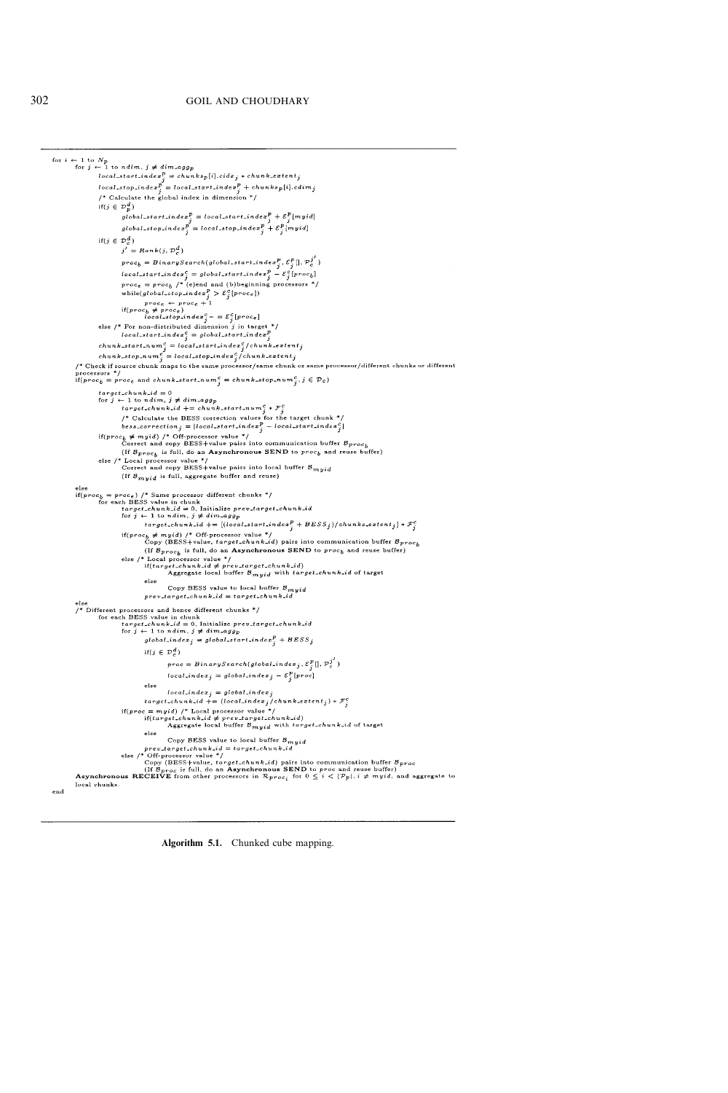# 302 GOIL AND CHOUDHARY

```
for i \leftarrow 1 to N_p<br>for j \leftarrow 1 to ndim, j \neq \dim_a ag_p{1 \choose 1} to haim, j \neq a managep<br>
{local\_start\_index}_j^p = {breaksfp[i].cidx}_j *{chunk\_extent}_j<br>
{local\_stop\_index}_j^p = {local\_start\_index}_j^p +{chunksp[i].cdim}_j/* Calculate the global index in dimension */if(j \in \mathcal{D}_{p}^{d})global\_start\_index_{i}^{p} = local\_start\_index_{i}^{p} + \varepsilon_{i}^{p}[myid]global_start_indexf' = local\_start\_index_{f}^F + E_{f}^F [myi]<br>global_stop_indexf' = local\_stop\_index_{f}^P + E_{f}^P [myi d]if(j \in \mathcal{D}_c^d)j' = Rank(j, \mathcal{D}_c^d)proc_b = BinarySearch(global.start\_index_{j}^{p}, \mathcal{E}_{j}^{p}[], \mathcal{P}_{c}^{j'})\begin{aligned} &\text{proc}_b = \textit{binarySearch}(good1.start.\textit{index}^2_j, \mathcal{E}_j \mid \mathbf{I}, \mathcal{F}_c) \\ &\text{local\_start}.\textit{index}^c_j = global\_start.\textit{index}^p_j - \mathcal{E}_j^c[\textit{proc}_b] \\ &\text{proc}_c = \textit{proc}_b / * (\textit{e)end}\textit{ and (b)begining processors *} \\ &\text{while (global\_stop\_index}^p > \mathcal{E}_j^c[\textit{proc}_c]) \\ &\text{proc}_c \leftarrow \textit{proc}_c + 1 \\ &\text{if (proc}_b \neq \textit{proc}_c)else /* For non-distributed dimension j in target */
                                         local\_start\_index^c_j = global\_start\_index^r_j\begin{array}{l} \textit{chunk\_start\_num}^c_j = \textit{local\_start\_index}^c_j/\textit{chunk\_agent}_j\\ \textit{chunk\_stop\_num}^c_j = \textit{local\_stop\_index}^c_j/\textit{chunk\_event}_j \end{array}/* Check if source chunk maps to the same processor/same chunk or same processor/different chunks or different
              processors */
              if(proc<sub>b</sub> = proc<sub>e</sub> and chunk_start_num<sup>c</sup><sub>j</sub> = chunk_stop_num<sup>c</sup><sub>j</sub>, j \in \mathcal{D}_c)
                           target\_chunk\_id = 0<br>for j \leftarrow 1 to ndim, j \neq dim\_agg_ptarget_chunk_id += chunk_start_num<sup>c</sup> * \mathcal{F}_j^c<br>/* Calculate the BESS correction values for the target chunk */
                                         bess_correction j = |local\_start\_index\frac{p}{j} - local\_start\_index\frac{q}{j}|if(proc<sub>b</sub> \neq myid) /* Off-processor value */<br>Correct and copy BESS+value pairs into communication buffer B_{proc_b}(If \mathcal{B}_{proc} is full, do an Asynchronous SEND to proc_b and reuse buffer)
                           the \mu Local processor value \pi/<br>Correct and copy BESS+value pairs into local buffer B_{myid}<br>Correct and copy BESS+value pairs into local buffer B_{myid}(If B_{myid} is full, aggregate buffer and reuse)
             eise<br>
\text{if}(proc_b = proc_e) \text{ /* Same processor different chunks */}
for each BESS value in chunk<br>
for \text{arget\_chunk} \cdot id = 0, Initialize prev_target_chunk_id<br>
for j \leftarrow 1 to ndim, j \neq dim\_agg_ptarget\_chunk\_id += [(local\_start\_index_{i}^{p} + BESS_{j})/chunks\_extent_{j}] * \mathcal{F}_{j}^{c}if(proc<sub>h</sub> \neq myid) /* Off-processor value */<br>Copy (BESS+value, target_chunk_id) pairs into communication buffer B_{proc_h}(If \mathcal{B}_{proc} is full, do an Asynchronous SEND to proc_b and reuse buffer)
                                         the process initial and Asymetrical<br>state of process intense of the processor value *<br>if (target_chunk_id \neq prev_target_chunk_id)<br>Aggregate local buffer B_{mijd} with target_chunk_id of target<br>also
                                                       else
                                                                  Copy BESS value to local buffer \mathcal{B}_{m \, y \, i \, d}\label{eq:prev} prev\_target\_chunk\_id = target\_chunk\_icelse<br>/* Different processors and hence different chunks */<br>for each BESS value in chunk
                           effert processors and nence durement chains \frac{1}{2}<br>for each BESS value in chunk<br>target\_chunk_id = 0, Initialize prev_target_chunk_id<br>for j \leftarrow 1 to ndim, j \neq dim\_agg_p\label{eq:global-inde} global\_index_j = global\_start\_index_j^p + BESS_jif(j \in \mathcal{D}^d)
                                                                    \text{proc} = BinarySearch(global_index_j, \mathcal{E}_j^p[], \mathcal{P}_c^{j'})local\_index_j = global\_index_j - E_j^p[proc]else
                                                      \begin{array}{lll} \textit{eise} & & \\ & \textit{local_index}_j = \textit{global_index}_j / \textit{chunk_text})*\mathcal{F}^c_j \\ & \textit{target_chunk\_id} \mathrel{+} = (\textit{local_index}_j / \textit{chunk_text})*\mathcal{F}^c_j \end{array}if(proc = myid) /* Local processor value */<br>if(target_chunk_id = prev_target_chunk_id)<br>Aggregate local buffer B_{myid} with target_chunk_id of target<br>chunk_id of target
                                                       else
                                                                    Copy BESS value to local buffer \mathcal{B}_{myid}previewing that is target.chunk.id<br>
else /* Off-processor value */<br>
Copy (BESS+value, target.chunk.id) pairs into communication buffer B_{proc}<br>
(if B_{proc} is full, do an Asynchronous SEND to proc and reuse buffer)<br>
(if B_{local chunks.
end
```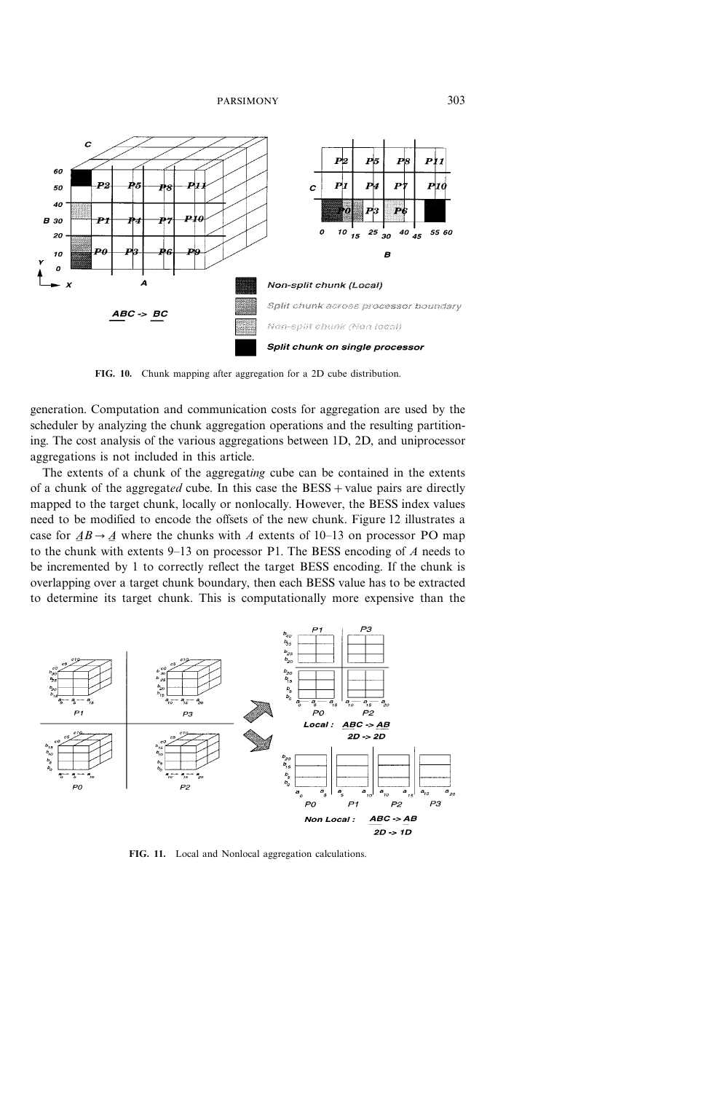

FIG. 10. Chunk mapping after aggregation for a 2D cube distribution.

generation. Computation and communication costs for aggregation are used by the scheduler by analyzing the chunk aggregation operations and the resulting partitioning. The cost analysis of the various aggregations between 1D, 2D, and uniprocessor aggregations is not included in this article.

The extents of a chunk of the aggregating cube can be contained in the extents of a chunk of the aggregated cube. In this case the  $BESS + value$  pairs are directly mapped to the target chunk, locally or nonlocally. However, the BESS index values need to be modified to encode the offsets of the new chunk. Figure 12 illustrates a case for  $\Delta B \rightarrow \Delta A$  where the chunks with A extents of 10-13 on processor PO map to the chunk with extents 9–13 on processor P1. The BESS encoding of  $\Lambda$  needs to be incremented by 1 to correctly reflect the target BESS encoding. If the chunk is overlapping over a target chunk boundary, then each BESS value has to be extracted to determine its target chunk. This is computationally more expensive than the



FIG. 11. Local and Nonlocal aggregation calculations.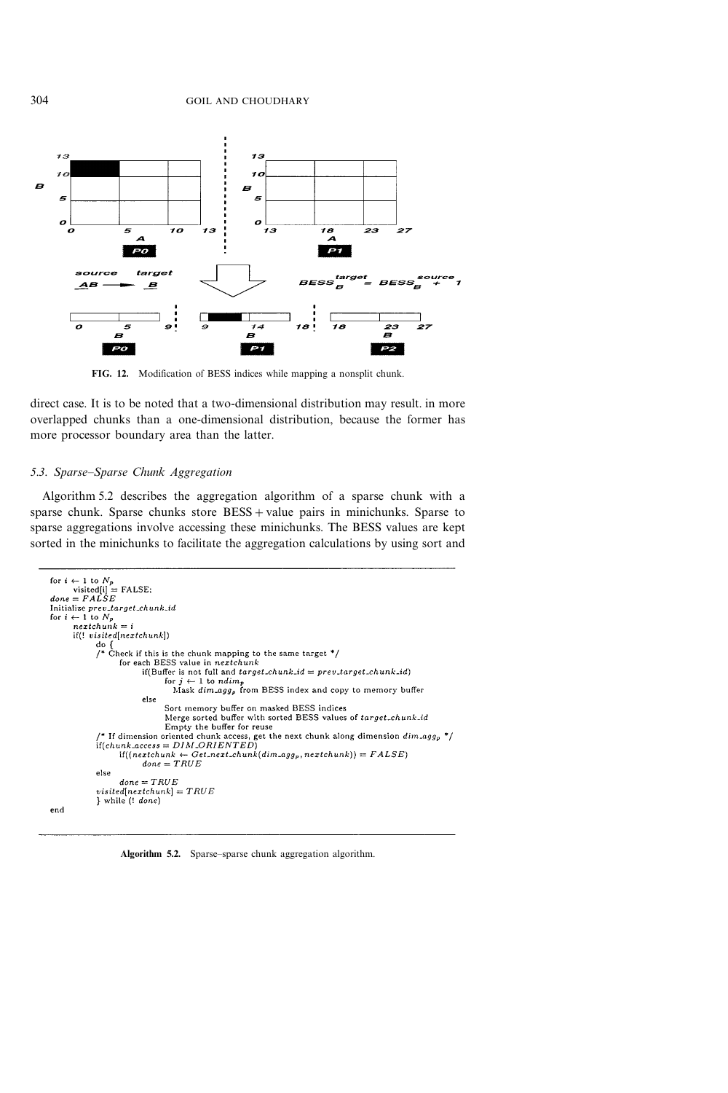

FIG. 12. Modification of BESS indices while mapping a nonsplit chunk.

direct case. It is to be noted that a two-dimensional distribution may result. in more overlapped chunks than a one-dimensional distribution, because the former has more processor boundary area than the latter.

# 5.3. Sparse-Sparse Chunk Aggregation

Algorithm 5.2 describes the aggregation algorithm of a sparse chunk with a sparse chunk. Sparse chunks store BESS+value pairs in minichunks. Sparse to sparse aggregations involve accessing these minichunks. The BESS values are kept sorted in the minichunks to facilitate the aggregation calculations by using sort and

```
for i \leftarrow 1 to N_p<br>visited[i] = FALSE;<br>done = FALSE
Initialize prev_target_chunk_id
for i \leftarrow 1 to N_pnextchunk = iif(! visited[nextchunk])
           do {<br>/* Check if this is the chunk mapping to the same target */
                  for each BESS value in nextchunk
                        if(Buffer is not full and target-chunk_id = prev-target.chunk_id)for j \leftarrow 1 to ndim<sub>p</sub>
                                Mask dim\_agg_p from BESS index and copy to memory buffer
                        else
                              Sort memory buffer on masked BESS indices
                              Merge sorted buffer with sorted BESS values of target.chunk.id
                              Empty the buffer for reuse
             ' If dimension oriented chunk access, get the next chunk along dimension dim\_agg_p */
            if(chunk\_access = DIM\_ORIENTED)if((nextchunk \leftarrow Get.next{\_}chunk(dim{\_}agg_p, nextchunk))) = FALSE)done = TRUEelse
                  done = TRUEvisited[nextchunk] = TRUE\} while (! done)
end
```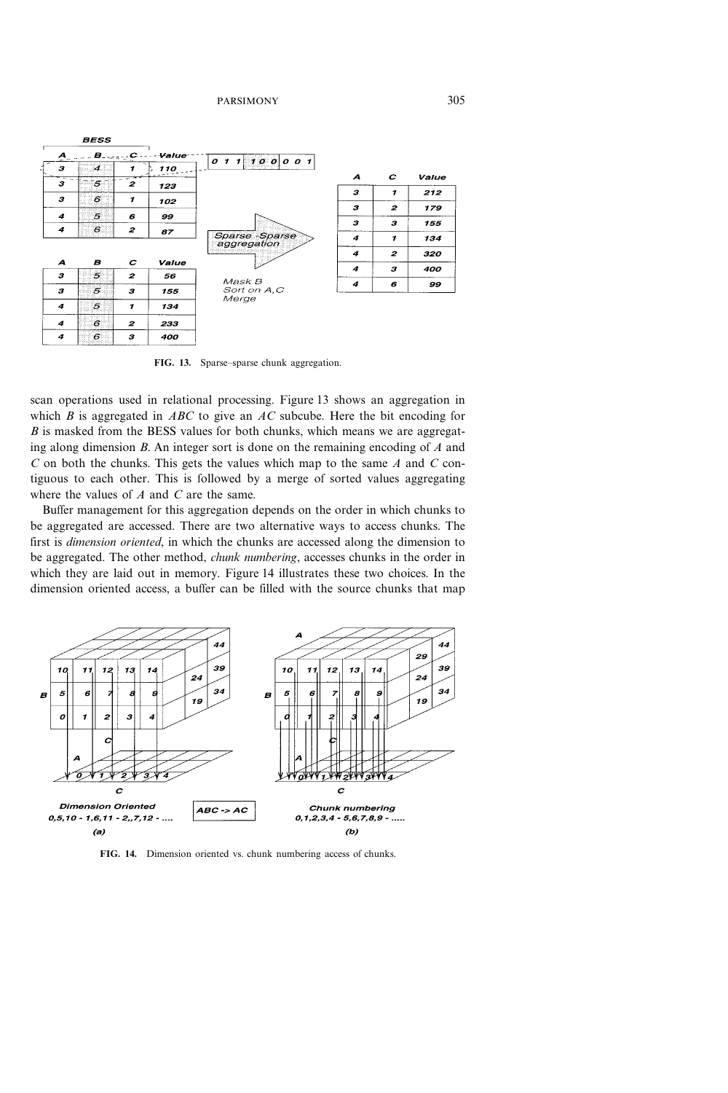

FIG. 13. Sparse–sparse chunk aggregation.

scan operations used in relational processing. Figure 13 shows an aggregation in which B is aggregated in  $ABC$  to give an AC subcube. Here the bit encoding for  $B$  is masked from the BESS values for both chunks, which means we are aggregating along dimension  $B$ . An integer sort is done on the remaining encoding of  $A$  and  $C$  on both the chunks. This gets the values which map to the same  $A$  and  $C$  contiguous to each other. This is followed by a merge of sorted values aggregating where the values of  $A$  and  $C$  are the same.

Buffer management for this aggregation depends on the order in which chunks to be aggregated are accessed. There are two alternative ways to access chunks. The first is *dimension oriented*, in which the chunks are accessed along the dimension to be aggregated. The other method, *chunk numbering*, accesses chunks in the order in which they are laid out in memory. Figure 14 illustrates these two choices. In the dimension oriented access, a buffer can be filled with the source chunks that map



FIG. 14. Dimension oriented vs. chunk numbering access of chunks.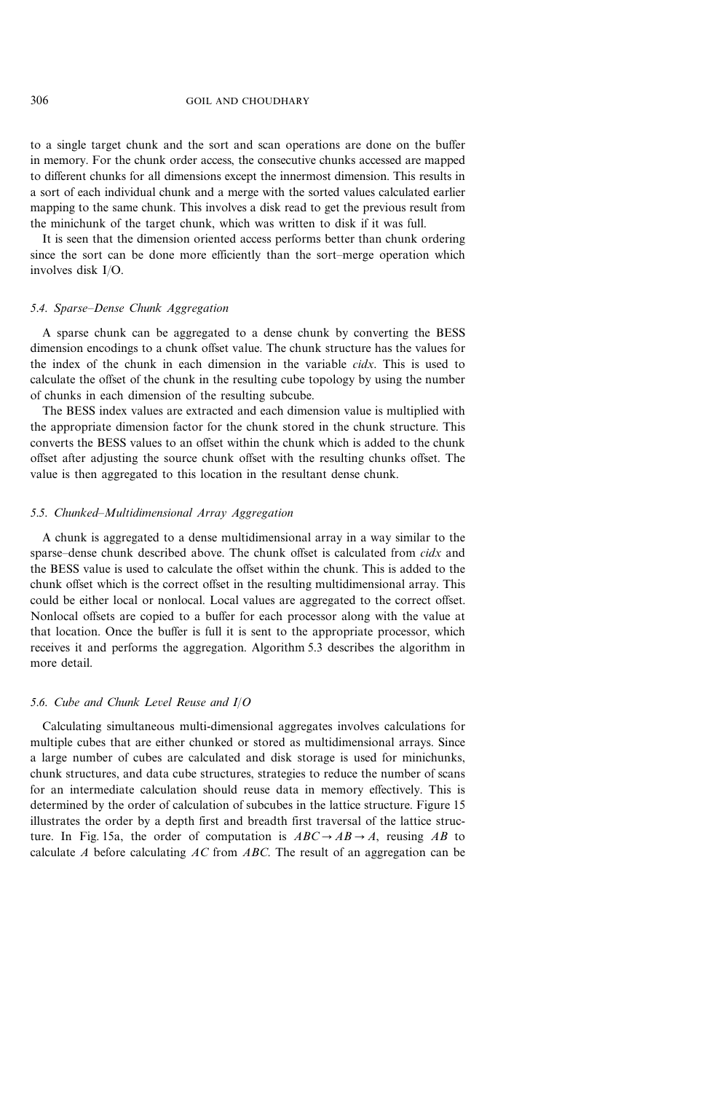to a single target chunk and the sort and scan operations are done on the buffer in memory. For the chunk order access, the consecutive chunks accessed are mapped to different chunks for all dimensions except the innermost dimension. This results in a sort of each individual chunk and a merge with the sorted values calculated earlier mapping to the same chunk. This involves a disk read to get the previous result from the minichunk of the target chunk, which was written to disk if it was full.

It is seen that the dimension oriented access performs better than chunk ordering since the sort can be done more efficiently than the sort-merge operation which involves disk I/O.

#### 5.4. Sparse–Dense Chunk Aggregation

A sparse chunk can be aggregated to a dense chunk by converting the BESS dimension encodings to a chunk offset value. The chunk structure has the values for the index of the chunk in each dimension in the variable *cidx*. This is used to calculate the offset of the chunk in the resulting cube topology by using the number of chunks in each dimension of the resulting subcube.

The BESS index values are extracted and each dimension value is multiplied with the appropriate dimension factor for the chunk stored in the chunk structure. This converts the BESS values to an offset within the chunk which is added to the chunk offset after adjusting the source chunk offset with the resulting chunks offset. The value is then aggregated to this location in the resultant dense chunk.

# 5.5. Chunked-Multidimensional Array Aggregation

A chunk is aggregated to a dense multidimensional array in a way similar to the sparse-dense chunk described above. The chunk offset is calculated from cidx and the BESS value is used to calculate the offset within the chunk. This is added to the chunk offset which is the correct offset in the resulting multidimensional array. This could be either local or nonlocal. Local values are aggregated to the correct offset. Nonlocal offsets are copied to a buffer for each processor along with the value at that location. Once the buffer is full it is sent to the appropriate processor, which receives it and performs the aggregation. Algorithm 5.3 describes the algorithm in more detail.

# 5.6. Cube and Chunk Level Reuse and  $I/O$

Calculating simultaneous multi-dimensional aggregates involves calculations for multiple cubes that are either chunked or stored as multidimensional arrays. Since a large number of cubes are calculated and disk storage is used for minichunks, chunk structures, and data cube structures, strategies to reduce the number of scans for an intermediate calculation should reuse data in memory effectively. This is determined by the order of calculation of subcubes in the lattice structure. Figure 15 illustrates the order by a depth first and breadth first traversal of the lattice structure. In Fig. 15a, the order of computation is  $ABC \rightarrow AB \rightarrow A$ , reusing AB to calculate A before calculating AC from ABC. The result of an aggregation can be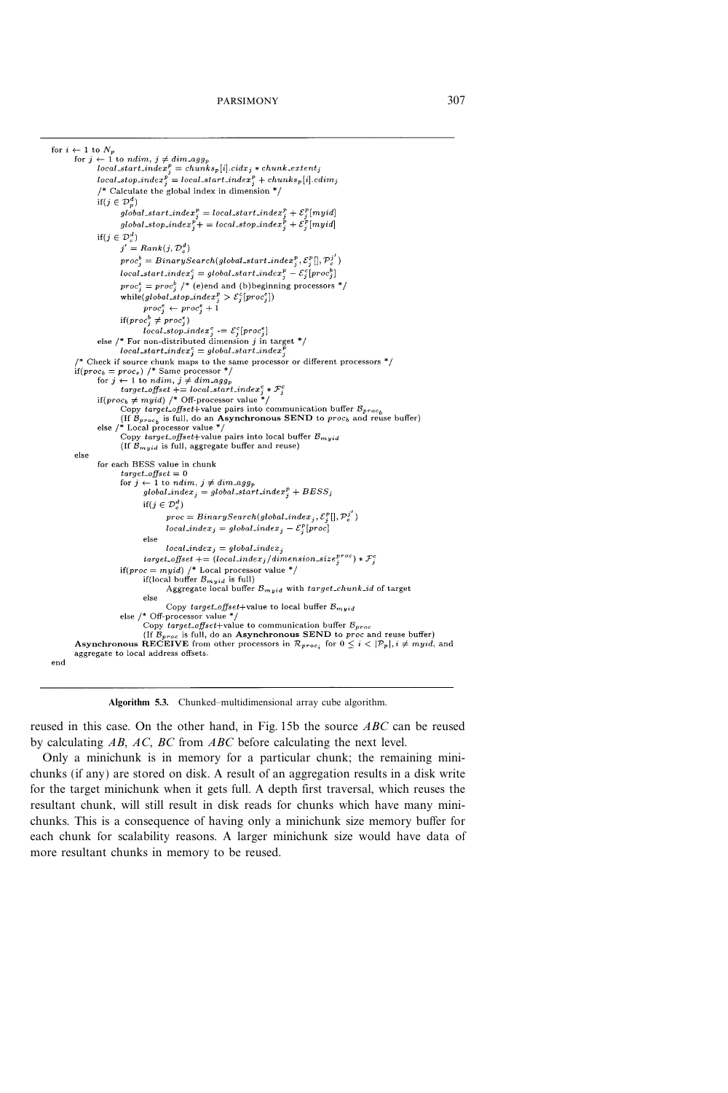```
for i \leftarrow 1 to N_pfor j \leftarrow 1 to ndim, j \neq dim\_agg_plocal\_start\_index_j^p = chunks_p[i].cidx_j * chunk\_extend_j \text{local\_stop\_index}_j^p = local\_start\_index_j^p + chunks_p[i].cdim_j/* Calculate the global index in dimension */if(j \in \mathcal{D}_p^d)
                        global\_start\_index_{j}^{p} = local\_start\_index_{j}^{p} + \mathcal{E}_{j}^{p}[myid]global_stop_index_{i}^{p}+ = local_stop_index_{i}^{p} + \mathcal{E}_{i}^{p}[myid]if(j \in \mathcal{D}_c^d)
                       j' = Rank(j, \mathcal{D}_c^d)proc_j^b = BinarySearch(globat\_start\_index_j^p, \mathcal{E}_j^p[, \mathcal{P}_c^{j'}\)local\_start\_index_{j}^{c} = global\_start\_index_{j}^{p} - \mathcal{E}_{j}^{c}[proc_{j}^{b}]proc_i^e = proc_i^b /* (e)end and (b)beginning processors */
                        while(global_stop_index<sup>p</sup> > \mathcal{E}_{j}^{c}[proc_{j}^{e}])
                               proc_j^e \leftarrow proc_j^e + 1if(proc_j^b \neq proc_j^e)local\_stop\_index_{j}^{c} = \mathcal{E}_{j}^{c}[proc_{j}^{e}]else /* For non-distributed dimension j in target */
                       local\_start\_index_{j}^{c} = global\_start\_index/* Check if source chunk maps to the same processor or different processors */ if(proc_b = proc_e) /* Same processor */
               for j \leftarrow 1 to ndim, j \neq dim\_agg_p<br>target_offset += local_start_index{}^c_j * \mathcal{F}^c_jif(proc<sub>b</sub> \neq myid) /* Off-processor value */
                        Copy target_offset+value pairs into communication buffer B_{proc_b}(If B_{proc} is full, do an Asynchronous SEND to proc_b and reuse buffer)
                else /* Local processor value */
                        Copy target_offset+value pairs into local buffer B_{myid}(If B_{myid} is full, aggregate buffer and reuse)
        else
                for each BESS value in chunk
                        target\_offset=0for j \leftarrow 1 to ndim, j \neq dim\_agg_p\label{eq:global-index} global\_index_j = global\_start\_index_j^p + BESS_jif(j \in \mathcal{D}_c^d)
                                        proc = BinarySearch(global_index_i, \mathcal{E}_i^p[], \mathcal{P}_c^{j'})local\_index_j = global\_index_j - \mathcal{E}_i^p[proc]else
                                       local\_index_j = global\_index_jtarget\_offset \text{ } \leftarrow (local\_index_j/dimension\_size_j^{proc}) * \mathcal{F}_j^cif(proc = myid) /* Local processor value */
                               if(local buffer \mathcal{B}_{myid} is full)
                                       Aggregate local buffer B_{myid} with target_chunk_id of target
                               else
                                       Copy target_offset+value to local buffer B_{myid}else /* Off-processor value */
                                Copy target_offset+value to communication buffer B_{proc}(If B_{proc} is full, do an Asynchronous SEND to proc and reuse buffer)<br>Asynchronous RECEIVE from other processors in \mathcal{R}_{proc} for 0 \leq i < |\mathcal{P}_p|, i \neq myid, and
        aggregate to local address offsets.
end
```


reused in this case. On the other hand, in Fig. 15b the source ABC can be reused by calculating  $AB$ ,  $AC$ ,  $BC$  from  $ABC$  before calculating the next level.

Only a minichunk is in memory for a particular chunk; the remaining minichunks (if any) are stored on disk. A result of an aggregation results in a disk write for the target minichunk when it gets full. A depth first traversal, which reuses the resultant chunk, will still result in disk reads for chunks which have many minichunks. This is a consequence of having only a minichunk size memory buffer for each chunk for scalability reasons. A larger minichunk size would have data of more resultant chunks in memory to be reused.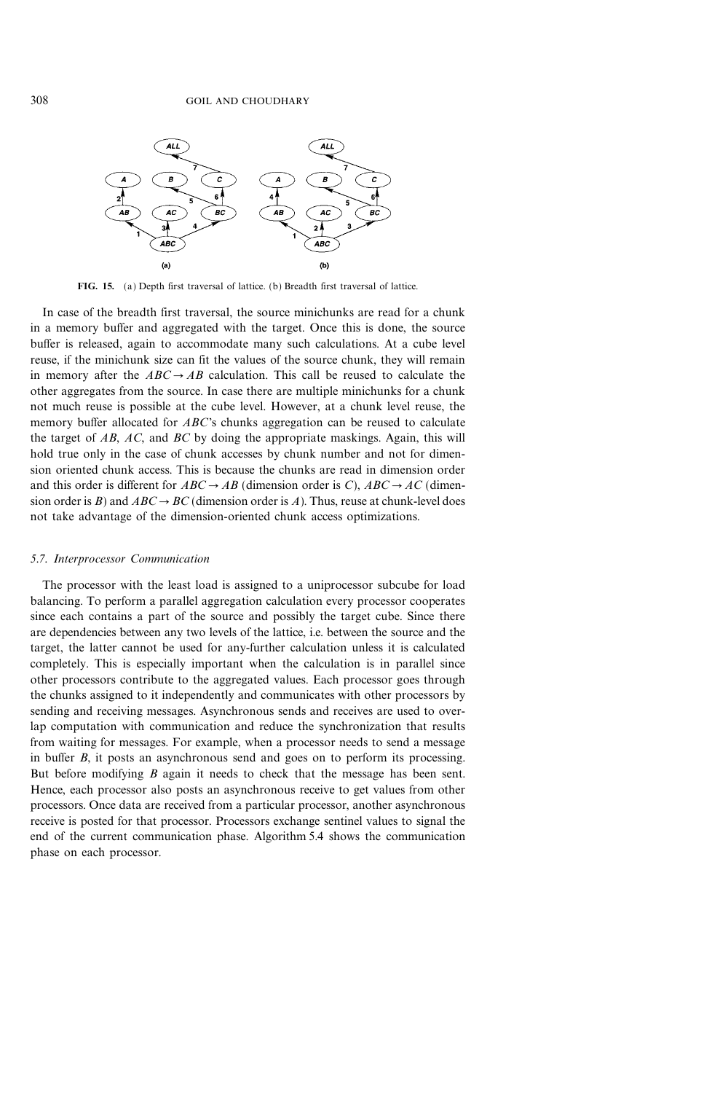

FIG. 15. (a) Depth first traversal of lattice. (b) Breadth first traversal of lattice.

In case of the breadth first traversal, the source minichunks are read for a chunk in a memory buffer and aggregated with the target. Once this is done, the source buffer is released, again to accommodate many such calculations. At a cube level reuse, if the minichunk size can fit the values of the source chunk, they will remain in memory after the  $ABC \rightarrow AB$  calculation. This call be reused to calculate the other aggregates from the source. In case there are multiple minichunks for a chunk not much reuse is possible at the cube level. However, at a chunk level reuse, the memory buffer allocated for *ABC*'s chunks aggregation can be reused to calculate the target of  $AB$ ,  $AC$ , and  $BC$  by doing the appropriate maskings. Again, this will hold true only in the case of chunk accesses by chunk number and not for dimension oriented chunk access. This is because the chunks are read in dimension order and this order is different for  $ABC \rightarrow AB$  (dimension order is C),  $ABC \rightarrow AC$  (dimension order is B) and  $ABC \rightarrow BC$  (dimension order is A). Thus, reuse at chunk-level does not take advantage of the dimension-oriented chunk access optimizations.

# 5.7. Interprocessor Communication

The processor with the least load is assigned to a uniprocessor subcube for load balancing. To perform a parallel aggregation calculation every processor cooperates since each contains a part of the source and possibly the target cube. Since there are dependencies between any two levels of the lattice, i.e. between the source and the target, the latter cannot be used for any-further calculation unless it is calculated completely. This is especially important when the calculation is in parallel since other processors contribute to the aggregated values. Each processor goes through the chunks assigned to it independently and communicates with other processors by sending and receiving messages. Asynchronous sends and receives are used to overlap computation with communication and reduce the synchronization that results from waiting for messages. For example, when a processor needs to send a message in buffer B, it posts an asynchronous send and goes on to perform its processing. But before modifying  $B$  again it needs to check that the message has been sent. Hence, each processor also posts an asynchronous receive to get values from other processors. Once data are received from a particular processor, another asynchronous receive is posted for that processor. Processors exchange sentinel values to signal the end of the current communication phase. Algorithm 5.4 shows the communication phase on each processor.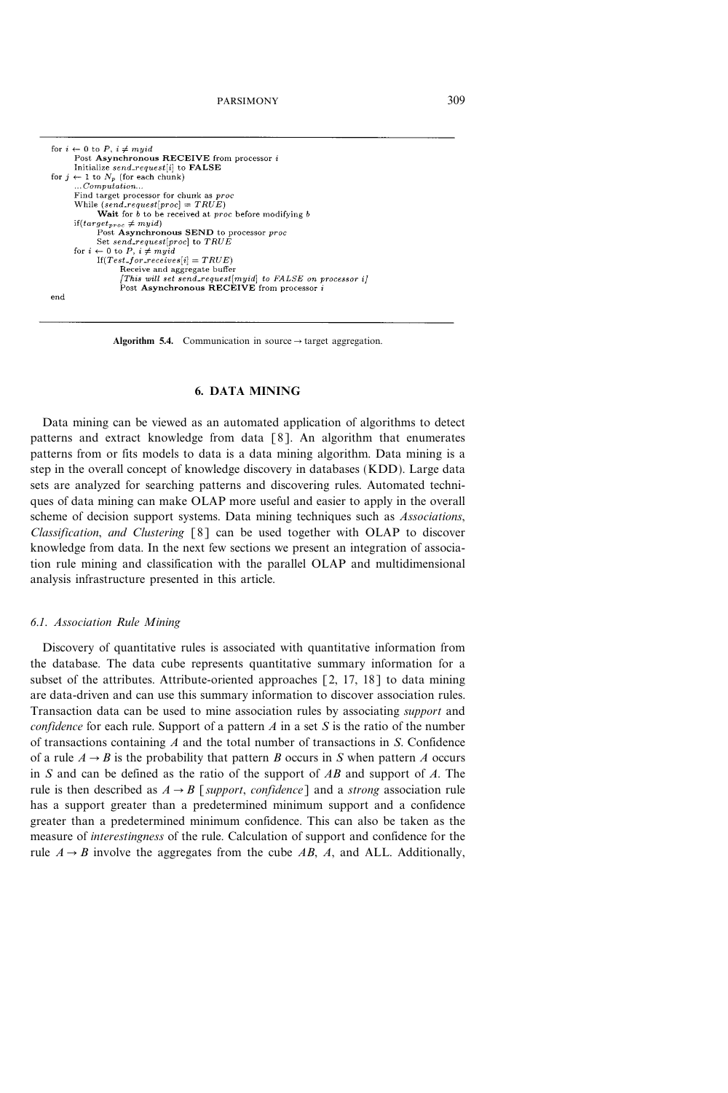```
for i \leftarrow 0 to P, i \neq myidPost Asynchronous RECEIVE from processor i
     Initialize send_request[i] to FALSE
for j \leftarrow 1 to N_p (for each chunk)
      ... Computation...Find target processor for chunk as proc
     While (send\_request[proc] = TRUE)Wait for b to be received at proc before modifying b\text{if}(target_{proc} \neq myid)Post Asynchronous SEND to processor proc
           Set send_request[proc] to TRUE
     for i \leftarrow 0 to P, i \neq myidIf(Test_for_receives[i] = TRUE)
                 Receive and aggregate buffer
                 [This will set send_request[myid] to FALSE on processor i]
                 Post Asynchronous RECEIVE from processor i
end
```
Algorithm 5.4. Communication in source  $\rightarrow$  target aggregation.

# 6. DATA MINING

Data mining can be viewed as an automated application of algorithms to detect patterns and extract knowledge from data [8]. An algorithm that enumerates patterns from or fits models to data is a data mining algorithm. Data mining is a step in the overall concept of knowledge discovery in databases (KDD). Large data sets are analyzed for searching patterns and discovering rules. Automated techniques of data mining can make OLAP more useful and easier to apply in the overall scheme of decision support systems. Data mining techniques such as Associations, Classification, and Clustering [8] can be used together with OLAP to discover knowledge from data. In the next few sections we present an integration of association rule mining and classification with the parallel OLAP and multidimensional analysis infrastructure presented in this article.

#### 6.1. Association Rule Mining

Discovery of quantitative rules is associated with quantitative information from the database. The data cube represents quantitative summary information for a subset of the attributes. Attribute-oriented approaches [2, 17, 18] to data mining are data-driven and can use this summary information to discover association rules. Transaction data can be used to mine association rules by associating support and *confidence* for each rule. Support of a pattern  $\Lambda$  in a set  $S$  is the ratio of the number of transactions containing  $A$  and the total number of transactions in  $S$ . Confidence of a rule  $A \rightarrow B$  is the probability that pattern B occurs in S when pattern A occurs in S and can be defined as the ratio of the support of AB and support of A. The rule is then described as  $A \rightarrow B$  [*support, confidence*] and a *strong* association rule has a support greater than a predetermined minimum support and a confidence greater than a predetermined minimum confidence. This can also be taken as the measure of *interestingness* of the rule. Calculation of support and confidence for the rule  $A \rightarrow B$  involve the aggregates from the cube AB, A, and ALL. Additionally,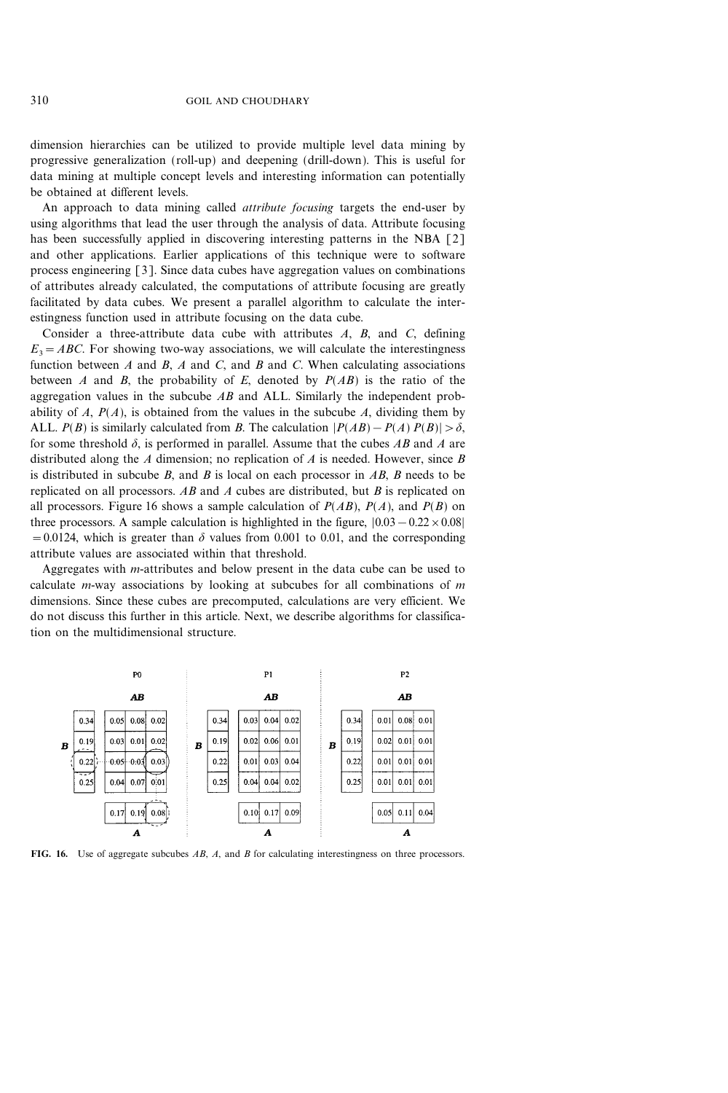dimension hierarchies can be utilized to provide multiple level data mining by progressive generalization (roll-up) and deepening (drill-down). This is useful for data mining at multiple concept levels and interesting information can potentially be obtained at different levels.

An approach to data mining called *attribute focusing* targets the end-user by using algorithms that lead the user through the analysis of data. Attribute focusing has been successfully applied in discovering interesting patterns in the NBA [2] and other applications. Earlier applications of this technique were to software process engineering [3]. Since data cubes have aggregation values on combinations of attributes already calculated, the computations of attribute focusing are greatly facilitated by data cubes. We present a parallel algorithm to calculate the interestingness function used in attribute focusing on the data cube.

Consider a three-attribute data cube with attributes  $A$ ,  $B$ , and  $C$ , defining  $E_3 = ABC$ . For showing two-way associations, we will calculate the interestingness function between  $A$  and  $B$ ,  $A$  and  $C$ , and  $B$  and  $C$ . When calculating associations between A and B, the probability of E, denoted by  $P(AB)$  is the ratio of the aggregation values in the subcube  $AB$  and ALL. Similarly the independent probability of  $A$ ,  $P(A)$ , is obtained from the values in the subcube  $A$ , dividing them by ALL.  $P(B)$  is similarly calculated from B. The calculation  $|P(AB) - P(A) P(B)| > \delta$ , for some threshold  $\delta$ , is performed in parallel. Assume that the cubes AB and A are distributed along the A dimension; no replication of A is needed. However, since B is distributed in subcube  $B$ , and  $B$  is local on each processor in  $AB$ ,  $B$  needs to be replicated on all processors. AB and A cubes are distributed, but B is replicated on all processors. Figure 16 shows a sample calculation of  $P(AB)$ ,  $P(A)$ , and  $P(B)$  on three processors. A sample calculation is highlighted in the figure,  $|0.03 - 0.22 \times 0.08|$ =0.0124, which is greater than  $\delta$  values from 0.001 to 0.01, and the corresponding attribute values are associated within that threshold.

Aggregates with m-attributes and below present in the data cube can be used to calculate  $m$ -way associations by looking at subcubes for all combinations of  $m$ dimensions. Since these cubes are precomputed, calculations are very efficient. We do not discuss this further in this article. Next, we describe algorithms for classification on the multidimensional structure.



FIG. 16. Use of aggregate subcubes  $AB$ ,  $A$ , and  $B$  for calculating interestingness on three processors.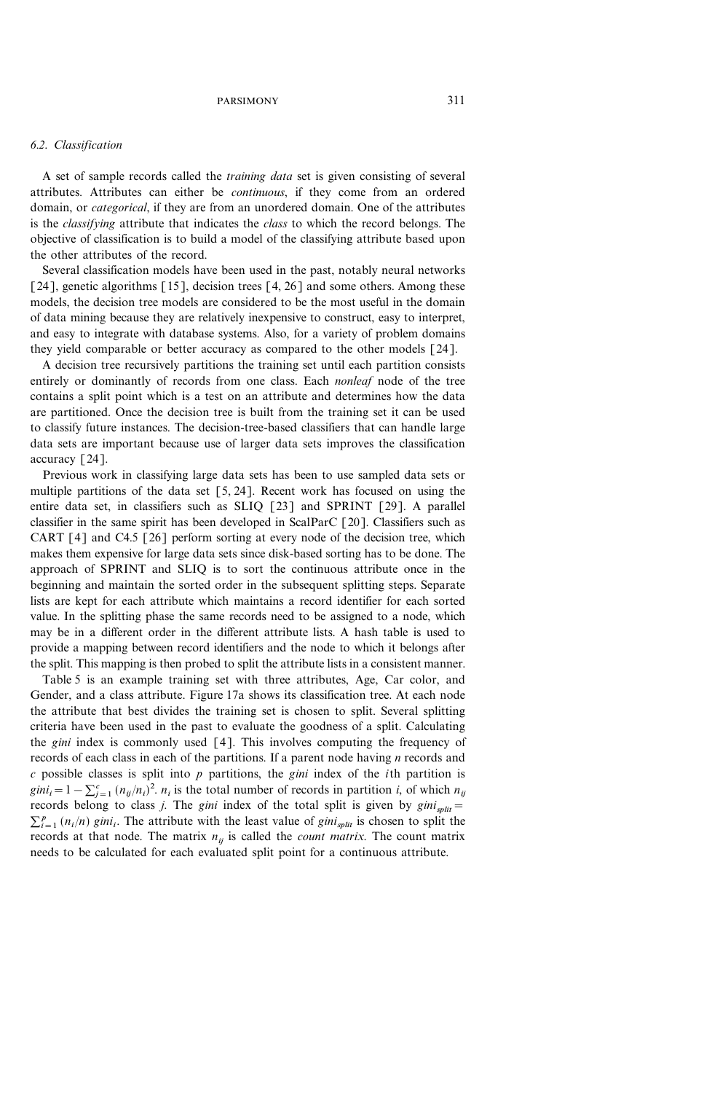#### PARSIMONY 311

#### 6.2. Classification

A set of sample records called the *training data* set is given consisting of several attributes. Attributes can either be *continuous*, if they come from an ordered domain, or *categorical*, if they are from an unordered domain. One of the attributes is the *classifying* attribute that indicates the *class* to which the record belongs. The objective of classification is to build a model of the classifying attribute based upon the other attributes of the record.

Several classification models have been used in the past, notably neural networks [24], genetic algorithms [15], decision trees [4, 26] and some others. Among these models, the decision tree models are considered to be the most useful in the domain of data mining because they are relatively inexpensive to construct, easy to interpret, and easy to integrate with database systems. Also, for a variety of problem domains they yield comparable or better accuracy as compared to the other models [24].

A decision tree recursively partitions the training set until each partition consists entirely or dominantly of records from one class. Each *nonleaf* node of the tree contains a split point which is a test on an attribute and determines how the data are partitioned. Once the decision tree is built from the training set it can be used to classify future instances. The decision-tree-based classifiers that can handle large data sets are important because use of larger data sets improves the classification accuracy [24].

Previous work in classifying large data sets has been to use sampled data sets or multiple partitions of the data set  $[5, 24]$ . Recent work has focused on using the entire data set, in classifiers such as SLIQ [23] and SPRINT [29]. A parallel classifier in the same spirit has been developed in ScalParC [20]. Classifiers such as CART [4] and C4.5 [26] perform sorting at every node of the decision tree, which makes them expensive for large data sets since disk-based sorting has to be done. The approach of SPRINT and SLIQ is to sort the continuous attribute once in the beginning and maintain the sorted order in the subsequent splitting steps. Separate lists are kept for each attribute which maintains a record identifier for each sorted value. In the splitting phase the same records need to be assigned to a node, which may be in a different order in the different attribute lists. A hash table is used to provide a mapping between record identifiers and the node to which it belongs after the split. This mapping is then probed to split the attribute lists in a consistent manner.

Table 5 is an example training set with three attributes, Age, Car color, and Gender, and a class attribute. Figure 17a shows its classification tree. At each node the attribute that best divides the training set is chosen to split. Several splitting criteria have been used in the past to evaluate the goodness of a split. Calculating the *gini* index is commonly used  $\lceil 4 \rceil$ . This involves computing the frequency of records of each class in each of the partitions. If a parent node having  $n$  records and  $c$  possible classes is split into  $p$  partitions, the *gini* index of the *i*th partition is  $gini_i = 1 - \sum_{j=1}^{c} (n_{ij}/n_i)^2$ .  $n_i$  is the total number of records in partition *i*, of which  $n_{ij}$ records belong to class j. The gini index of the total split is given by  $gini<sub>split</sub>$  $\sum_{i=1}^{p} (n_i/n)$  gini<sub>i</sub>. The attribute with the least value of gini<sub>split</sub> is chosen to split the records at that node. The matrix  $n_{ij}$  is called the *count matrix*. The count matrix needs to be calculated for each evaluated split point for a continuous attribute.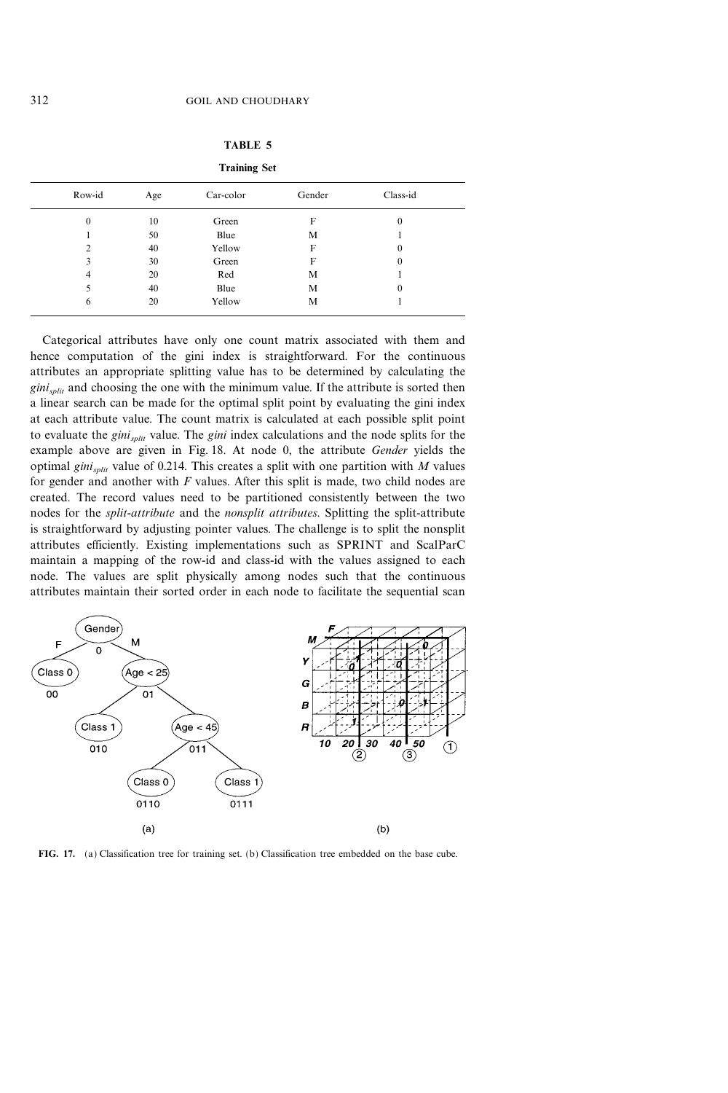| rranning Set   |     |           |        |              |  |
|----------------|-----|-----------|--------|--------------|--|
| Row-id         | Age | Car-color | Gender | Class-id     |  |
| $\theta$       | 10  | Green     | F      | $\bf{0}$     |  |
|                | 50  | Blue      | М      |              |  |
| $\overline{c}$ | 40  | Yellow    | F      | $\bf{0}$     |  |
| 3              | 30  | Green     | F      | $\mathbf{0}$ |  |
| 4              | 20  | Red       | M      |              |  |
|                | 40  | Blue      | М      | $\mathbf{0}$ |  |
| 6              | 20  | Yellow    | М      |              |  |
|                |     |           |        |              |  |

TABLE 5

Training Set

Categorical attributes have only one count matrix associated with them and hence computation of the gini index is straightforward. For the continuous attributes an appropriate splitting value has to be determined by calculating the  $gini<sub>split</sub>$  and choosing the one with the minimum value. If the attribute is sorted then a linear search can be made for the optimal split point by evaluating the gini index at each attribute value. The count matrix is calculated at each possible split point to evaluate the  $gini<sub>split</sub>$  value. The gini index calculations and the node splits for the example above are given in Fig. 18. At node 0, the attribute Gender yields the optimal gini<sub>split</sub> value of 0.214. This creates a split with one partition with M values for gender and another with  $F$  values. After this split is made, two child nodes are created. The record values need to be partitioned consistently between the two nodes for the *split-attribute* and the *nonsplit attributes*. Splitting the split-attribute is straightforward by adjusting pointer values. The challenge is to split the nonsplit attributes efficiently. Existing implementations such as SPRINT and ScalParC maintain a mapping of the row-id and class-id with the values assigned to each node. The values are split physically among nodes such that the continuous attributes maintain their sorted order in each node to facilitate the sequential scan



FIG. 17. (a) Classification tree for training set. (b) Classification tree embedded on the base cube.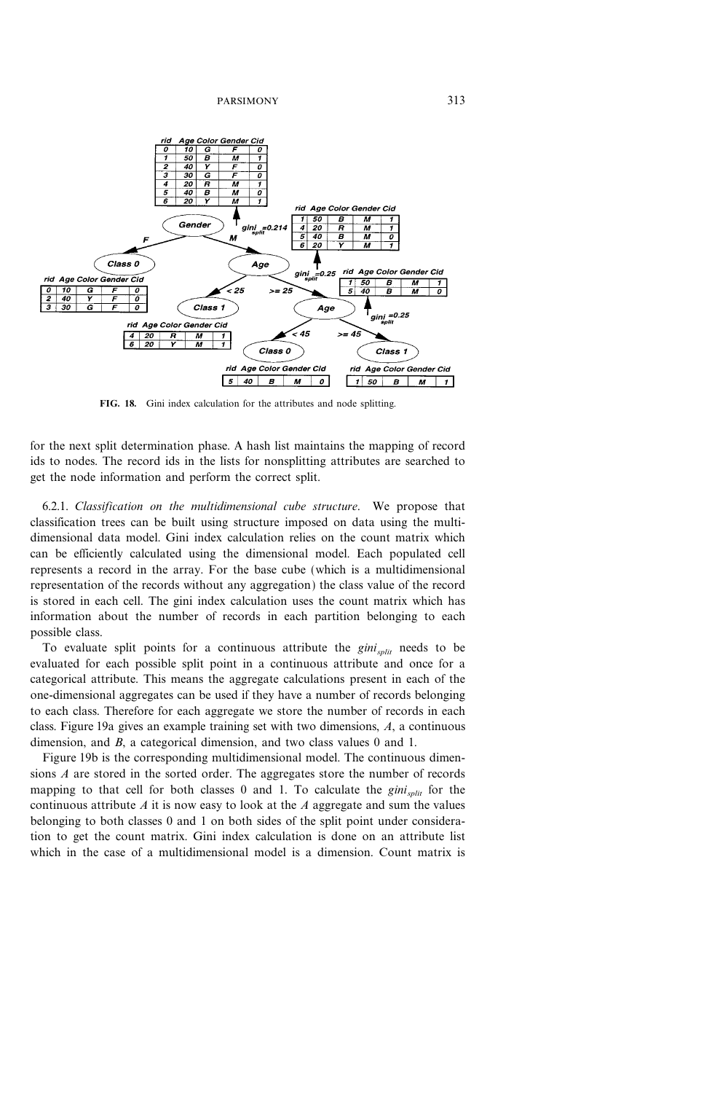

FIG. 18. Gini index calculation for the attributes and node splitting.

for the next split determination phase. A hash list maintains the mapping of record ids to nodes. The record ids in the lists for nonsplitting attributes are searched to get the node information and perform the correct split.

6.2.1. Classification on the multidimensional cube structure. We propose that classification trees can be built using structure imposed on data using the multidimensional data model. Gini index calculation relies on the count matrix which can be efficiently calculated using the dimensional model. Each populated cell represents a record in the array. For the base cube (which is a multidimensional representation of the records without any aggregation) the class value of the record is stored in each cell. The gini index calculation uses the count matrix which has information about the number of records in each partition belonging to each possible class.

To evaluate split points for a continuous attribute the  $gini<sub>split</sub>$  needs to be evaluated for each possible split point in a continuous attribute and once for a categorical attribute. This means the aggregate calculations present in each of the one-dimensional aggregates can be used if they have a number of records belonging to each class. Therefore for each aggregate we store the number of records in each class. Figure 19a gives an example training set with two dimensions, A, a continuous dimension, and B, a categorical dimension, and two class values 0 and 1.

Figure 19b is the corresponding multidimensional model. The continuous dimensions A are stored in the sorted order. The aggregates store the number of records mapping to that cell for both classes 0 and 1. To calculate the  $gini<sub>split</sub>$  for the continuous attribute  $\Lambda$  it is now easy to look at the  $\Lambda$  aggregate and sum the values belonging to both classes 0 and 1 on both sides of the split point under consideration to get the count matrix. Gini index calculation is done on an attribute list which in the case of a multidimensional model is a dimension. Count matrix is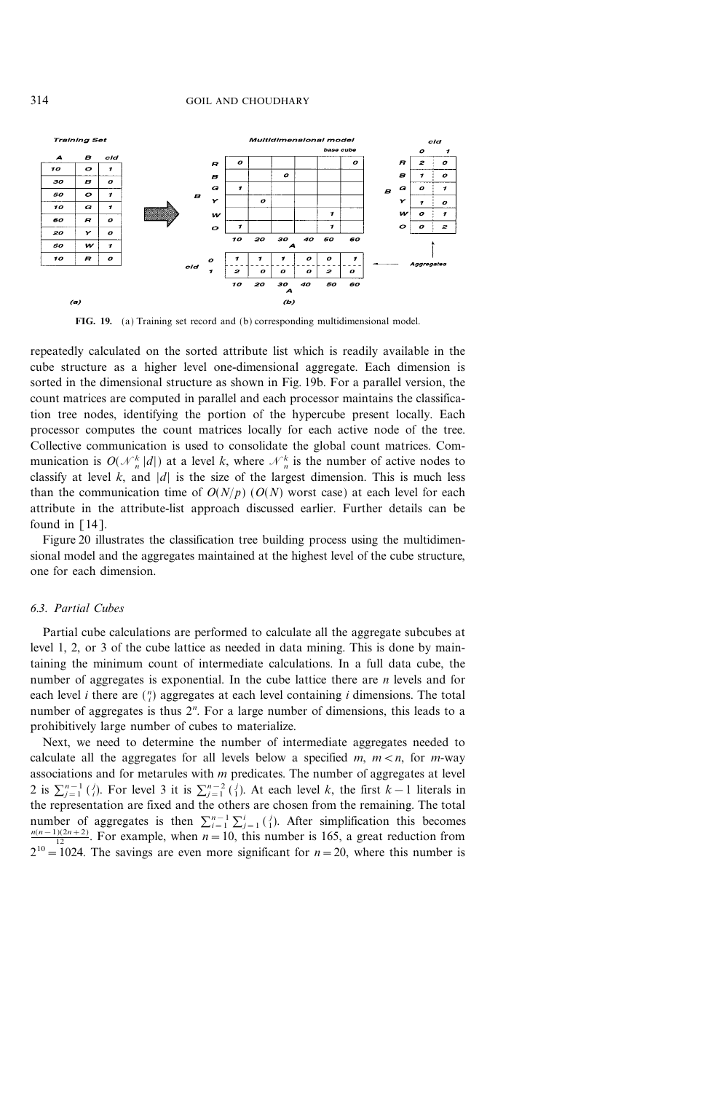

FIG. 19. (a) Training set record and (b) corresponding multidimensional model.

repeatedly calculated on the sorted attribute list which is readily available in the cube structure as a higher level one-dimensional aggregate. Each dimension is sorted in the dimensional structure as shown in Fig. 19b. For a parallel version, the count matrices are computed in parallel and each processor maintains the classification tree nodes, identifying the portion of the hypercube present locally. Each processor computes the count matrices locally for each active node of the tree. Collective communication is used to consolidate the global count matrices. Communication is  $O(\mathcal{N}_{n}^{k} |d|)$  at a level k, where  $\mathcal{N}_{n}^{k}$  is the number of active nodes to classify at level k, and |d| is the size of the largest dimension. This is much less than the communication time of  $O(N/p)$  ( $O(N)$ ) worst case) at each level for each attribute in the attribute-list approach discussed earlier. Further details can be found in  $[14]$ .

Figure 20 illustrates the classification tree building process using the multidimensional model and the aggregates maintained at the highest level of the cube structure, one for each dimension.

# 6.3. Partial Cubes

Partial cube calculations are performed to calculate all the aggregate subcubes at level 1, 2, or 3 of the cube lattice as needed in data mining. This is done by maintaining the minimum count of intermediate calculations. In a full data cube, the number of aggregates is exponential. In the cube lattice there are  $n$  levels and for each level *i* there are  $\binom{n}{i}$  aggregates at each level containing *i* dimensions. The total number of aggregates is thus 2<sup>n</sup>. For a large number of dimensions, this leads to a prohibitively large number of cubes to materialize.

Next, we need to determine the number of intermediate aggregates needed to calculate all the aggregates for all levels below a specified m,  $m < n$ , for m-way associations and for metarules with  $m$  predicates. The number of aggregates at level 2 is  $\sum_{j=1}^{n-1} {j \choose j}$ . For level 3 it is  $\sum_{j=1}^{n-2} {j \choose 1}$ . At each level k, the first  $k-1$  literals in the representation are fixed and the others are chosen from the remaining. The total number of aggregates is then  $\sum_{i=1}^{n-1} \sum_{j=1}^{i} {j \choose j}$ . After simplification this becomes  $n(n-1)(2n+2)$ . For example, when  $n-10$ , this number is 165, a great reduction from  $\frac{n(n-1)(2n+2)}{12}$ . For example, when  $n=10$ , this number is 165, a great reduction from  $2^{10}$  = 1024. The savings are even more significant for  $n=20$ , where this number is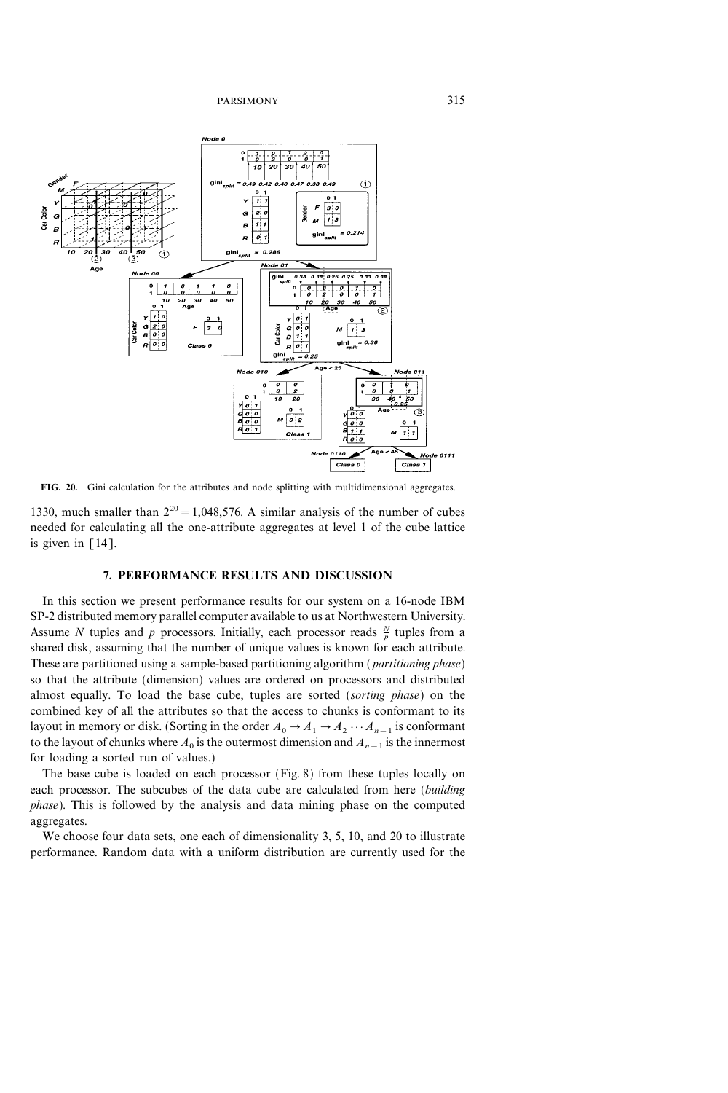

FIG. 20. Gini calculation for the attributes and node splitting with multidimensional aggregates.

1330, much smaller than  $2^{20} = 1,048,576$ . A similar analysis of the number of cubes needed for calculating all the one-attribute aggregates at level 1 of the cube lattice is given in  $\lceil 14 \rceil$ .

# 7. PERFORMANCE RESULTS AND DISCUSSION

In this section we present performance results for our system on a 16-node IBM SP-2 distributed memory parallel computer available to us at Northwestern University. Assume N tuples and p processors. Initially, each processor reads  $\frac{N}{p}$  tuples from a shared disk, assuming that the number of unique values is known for each attribute. These are partitioned using a sample-based partitioning algorithm (*partitioning phase*) so that the attribute (dimension) values are ordered on processors and distributed almost equally. To load the base cube, tuples are sorted (sorting phase) on the combined key of all the attributes so that the access to chunks is conformant to its layout in memory or disk. (Sorting in the order  $A_0 \rightarrow A_1 \rightarrow A_2 \cdots A_{n-1}$  is conformant to the layout of chunks where  $A_0$  is the outermost dimension and  $A_{n-1}$  is the innermost for loading a sorted run of values.)

The base cube is loaded on each processor (Fig. 8) from these tuples locally on each processor. The subcubes of the data cube are calculated from here (building phase). This is followed by the analysis and data mining phase on the computed aggregates.

We choose four data sets, one each of dimensionality 3, 5, 10, and 20 to illustrate performance. Random data with a uniform distribution are currently used for the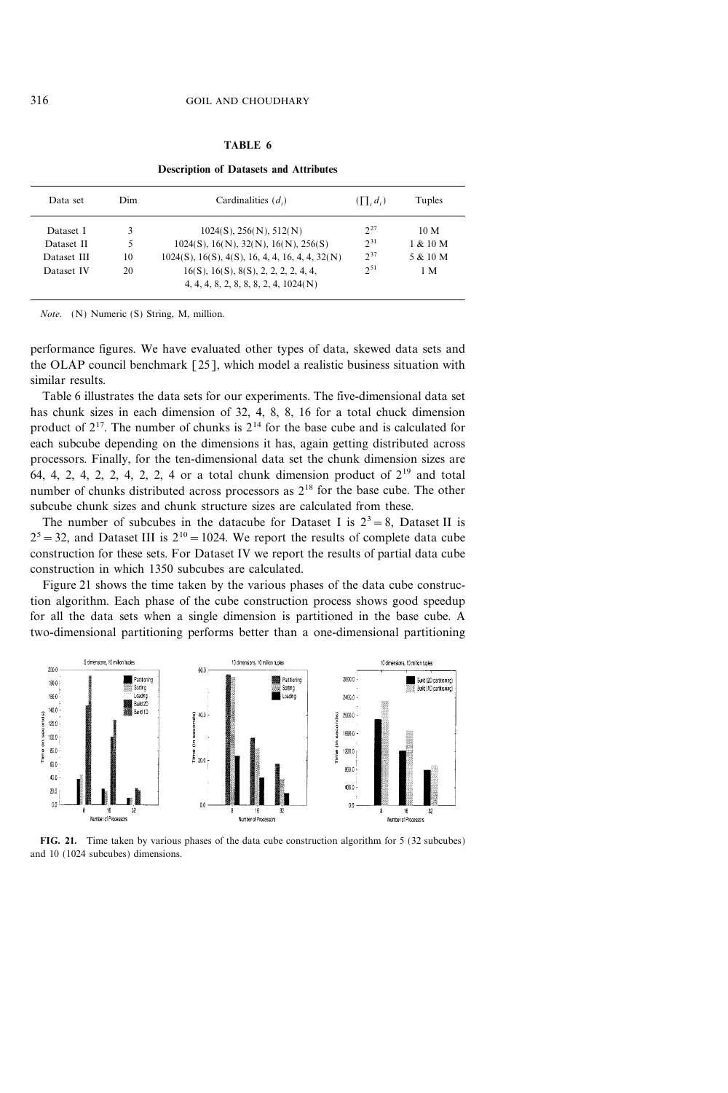#### TABLE 6

| Data set    | Dim | Cardinalities $(d_i)$                                            | $(  ,d_i)$ | Tuples   |
|-------------|-----|------------------------------------------------------------------|------------|----------|
| Dataset I   |     | $1024(S)$ , $256(N)$ , $512(N)$                                  | $2^{27}$   | 10 M     |
| Dataset II  | 5   | $1024(S)$ , $16(N)$ , $32(N)$ , $16(N)$ , $256(S)$               | $2^{31}$   | 1 & 10 M |
| Dataset III | 10  | $1024(S)$ , $16(S)$ , $4(S)$ , 16, 4, 4, 16, 4, 4, 32(N)         | $2^{37}$   | 5 & 10 M |
| Dataset IV  | 20  | $16(S)$ , $16(S)$ , $8(S)$ , $2$ , $2$ , $2$ , $2$ , $4$ , $4$ , | $2^{51}$   | 1 M      |
|             |     | 4, 4, 4, 8, 2, 8, 8, 8, 2, 4, 1024(N)                            |            |          |

Description of Datasets and Attributes

Note. (N) Numeric (S) String, M, million.

performance figures. We have evaluated other types of data, skewed data sets and the OLAP council benchmark [25], which model a realistic business situation with similar results.

Table 6 illustrates the data sets for our experiments. The five-dimensional data set has chunk sizes in each dimension of 32, 4, 8, 8, 16 for a total chuck dimension product of  $2^{17}$ . The number of chunks is  $2^{14}$  for the base cube and is calculated for each subcube depending on the dimensions it has, again getting distributed across processors. Finally, for the ten-dimensional data set the chunk dimension sizes are 64, 4, 2, 4, 2, 2, 4, 2, 2, 4 or a total chunk dimension product of  $2^{19}$  and total number of chunks distributed across processors as 2<sup>18</sup> for the base cube. The other subcube chunk sizes and chunk structure sizes are calculated from these.

The number of subcubes in the datacube for Dataset I is  $2^3 = 8$ , Dataset II is  $2<sup>5</sup> = 32$ , and Dataset III is  $2<sup>10</sup> = 1024$ . We report the results of complete data cube construction for these sets. For Dataset IV we report the results of partial data cube construction in which 1350 subcubes are calculated.

Figure 21 shows the time taken by the various phases of the data cube construction algorithm. Each phase of the cube construction process shows good speedup for all the data sets when a single dimension is partitioned in the base cube. A two-dimensional partitioning performs better than a one-dimensional partitioning



FIG. 21. Time taken by various phases of the data cube construction algorithm for 5 (32 subcubes) and 10 (1024 subcubes) dimensions.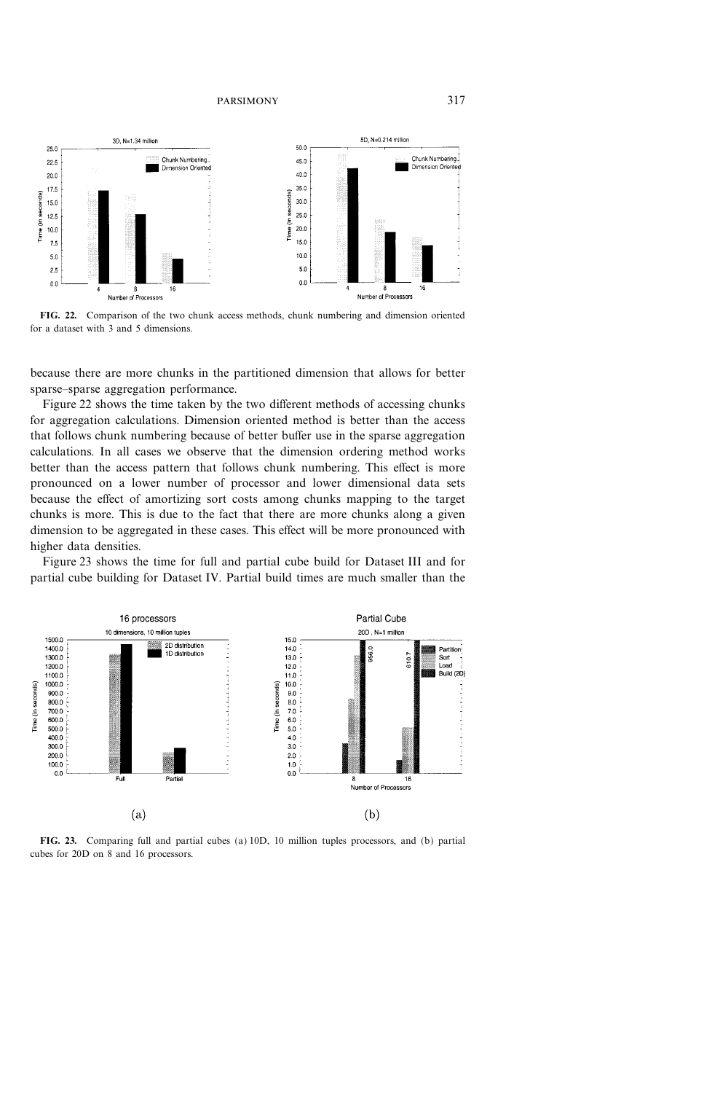

FIG. 22. Comparison of the two chunk access methods, chunk numbering and dimension oriented for a dataset with 3 and 5 dimensions.

because there are more chunks in the partitioned dimension that allows for better sparse–sparse aggregation performance.

Figure 22 shows the time taken by the two different methods of accessing chunks for aggregation calculations. Dimension oriented method is better than the access that follows chunk numbering because of better buffer use in the sparse aggregation calculations. In all cases we observe that the dimension ordering method works better than the access pattern that follows chunk numbering. This effect is more pronounced on a lower number of processor and lower dimensional data sets because the effect of amortizing sort costs among chunks mapping to the target chunks is more. This is due to the fact that there are more chunks along a given dimension to be aggregated in these cases. This effect will be more pronounced with higher data densities.

Figure 23 shows the time for full and partial cube build for Dataset III and for partial cube building for Dataset IV. Partial build times are much smaller than the



FIG. 23. Comparing full and partial cubes (a) 10D, 10 million tuples processors, and (b) partial cubes for 20D on 8 and 16 processors.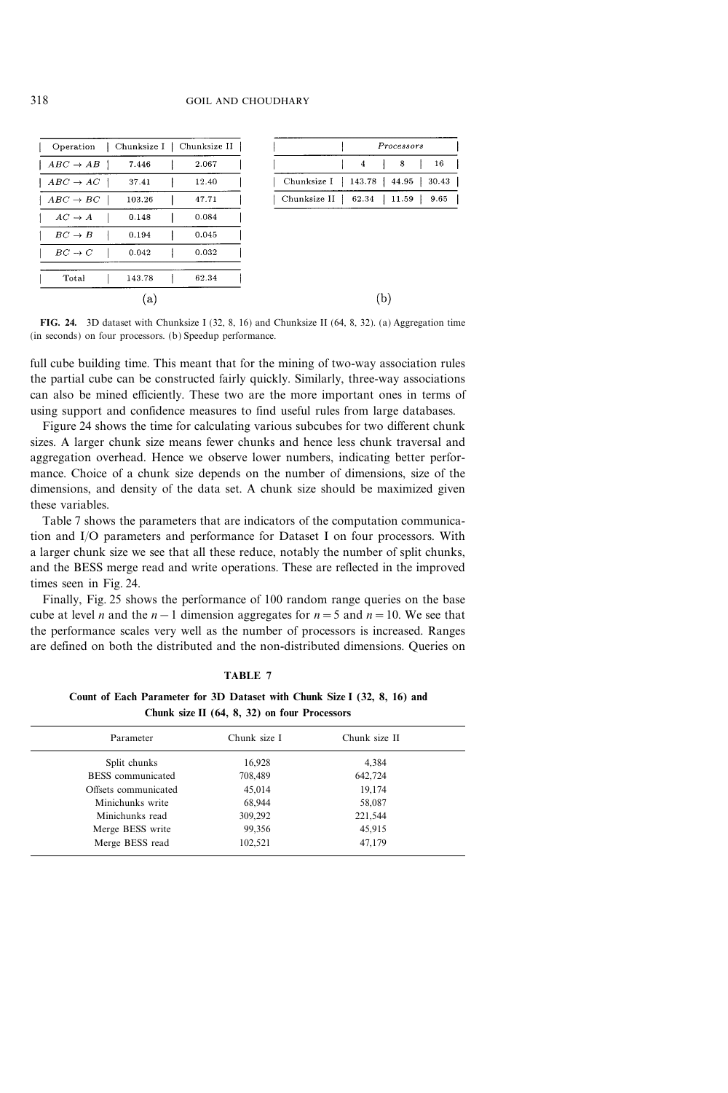| Operation            | Chunksize I | Chunksize II |
|----------------------|-------------|--------------|
| $ABC \rightarrow AB$ | 7.446       | 2.067        |
| $ABC \rightarrow AC$ | 37.41       | 12.40        |
| $ABC \rightarrow BC$ | 103.26      | 47.71        |
| $AC \rightarrow A$   | 0.148       | 0.084        |
| $BC \rightarrow B$   | 0.194       | 0.045        |
| $BC \rightarrow C$   | 0.042       | 0.032        |
| Total                | 143.78      | 62.34        |
|                      | ā           |              |

|                                      | Processors |  |     |  |    |
|--------------------------------------|------------|--|-----|--|----|
|                                      |            |  | 181 |  | 16 |
| Chunksize I   143.78   44.95   30.43 |            |  |     |  |    |
| Chunksize II   62.34   11.59   9.65  |            |  |     |  |    |

| ۰.<br>٠ |  |
|---------|--|

FIG. 24. 3D dataset with Chunksize I (32, 8, 16) and Chunksize II (64, 8, 32). (a) Aggregation time (in seconds) on four processors. (b) Speedup performance.

full cube building time. This meant that for the mining of two-way association rules the partial cube can be constructed fairly quickly. Similarly, three-way associations can also be mined efficiently. These two are the more important ones in terms of using support and confidence measures to find useful rules from large databases.

Figure 24 shows the time for calculating various subcubes for two different chunk sizes. A larger chunk size means fewer chunks and hence less chunk traversal and aggregation overhead. Hence we observe lower numbers, indicating better performance. Choice of a chunk size depends on the number of dimensions, size of the dimensions, and density of the data set. A chunk size should be maximized given these variables.

Table 7 shows the parameters that are indicators of the computation communication and I/O parameters and performance for Dataset I on four processors. With a larger chunk size we see that all these reduce, notably the number of split chunks, and the BESS merge read and write operations. These are reflected in the improved times seen in Fig. 24.

Finally, Fig. 25 shows the performance of 100 random range queries on the base cube at level n and the  $n-1$  dimension aggregates for  $n=5$  and  $n=10$ . We see that the performance scales very well as the number of processors is increased. Ranges are defined on both the distributed and the non-distributed dimensions. Queries on

| ABL. |  |
|------|--|
|------|--|

Count of Each Parameter for 3D Dataset with Chunk Size I (32, 8, 16) and Chunk size II (64, 8, 32) on four Processors

| Parameter                | Chunk size I | Chunk size II |  |
|--------------------------|--------------|---------------|--|
| Split chunks             | 16,928       | 4,384         |  |
| <b>BESS</b> communicated | 708,489      | 642,724       |  |
| Offsets communicated     | 45,014       | 19,174        |  |
| Minichunks write         | 68,944       | 58,087        |  |
| Minichunks read          | 309,292      | 221,544       |  |
| Merge BESS write         | 99,356       | 45,915        |  |
| Merge BESS read          | 102,521      | 47.179        |  |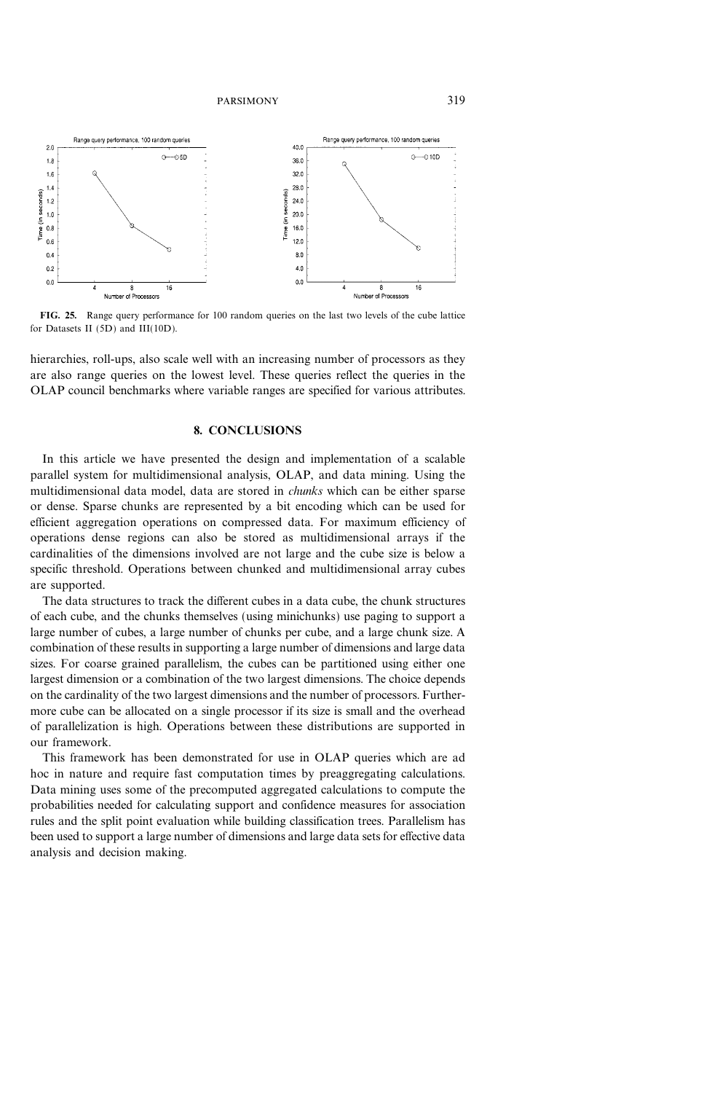

FIG. 25. Range query performance for 100 random queries on the last two levels of the cube lattice for Datasets II (5D) and III(10D).

hierarchies, roll-ups, also scale well with an increasing number of processors as they are also range queries on the lowest level. These queries reflect the queries in the OLAP council benchmarks where variable ranges are specified for various attributes.

## 8. CONCLUSIONS

In this article we have presented the design and implementation of a scalable parallel system for multidimensional analysis, OLAP, and data mining. Using the multidimensional data model, data are stored in *chunks* which can be either sparse or dense. Sparse chunks are represented by a bit encoding which can be used for efficient aggregation operations on compressed data. For maximum efficiency of operations dense regions can also be stored as multidimensional arrays if the cardinalities of the dimensions involved are not large and the cube size is below a specific threshold. Operations between chunked and multidimensional array cubes are supported.

The data structures to track the different cubes in a data cube, the chunk structures of each cube, and the chunks themselves (using minichunks) use paging to support a large number of cubes, a large number of chunks per cube, and a large chunk size. A combination of these results in supporting a large number of dimensions and large data sizes. For coarse grained parallelism, the cubes can be partitioned using either one largest dimension or a combination of the two largest dimensions. The choice depends on the cardinality of the two largest dimensions and the number of processors. Furthermore cube can be allocated on a single processor if its size is small and the overhead of parallelization is high. Operations between these distributions are supported in our framework.

This framework has been demonstrated for use in OLAP queries which are ad hoc in nature and require fast computation times by preaggregating calculations. Data mining uses some of the precomputed aggregated calculations to compute the probabilities needed for calculating support and confidence measures for association rules and the split point evaluation while building classification trees. Parallelism has been used to support a large number of dimensions and large data sets for effective data analysis and decision making.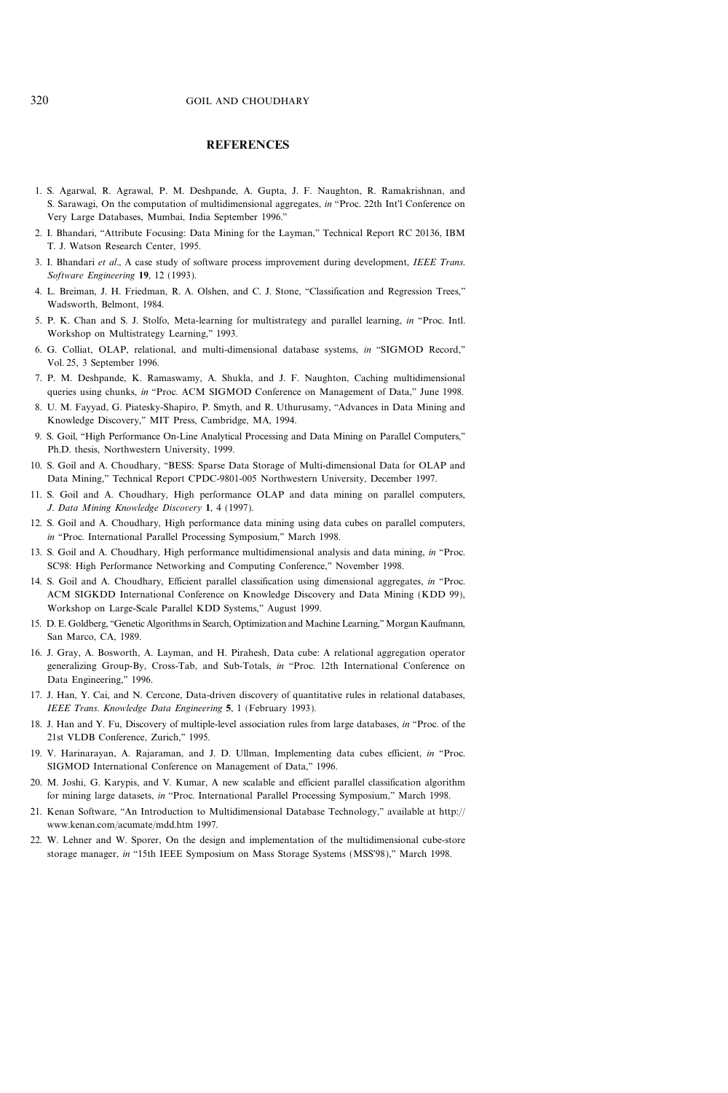### **REFERENCES**

- 1. S. Agarwal, R. Agrawal, P. M. Deshpande, A. Gupta, J. F. Naughton, R. Ramakrishnan, and S. Sarawagi, On the computation of multidimensional aggregates, in "Proc. 22th Int'l Conference on Very Large Databases, Mumbai, India September 1996.''
- 2. I. Bhandari, "Attribute Focusing: Data Mining for the Layman," Technical Report RC 20136, IBM T. J. Watson Research Center, 1995.
- 3. I. Bhandari et al., A case study of software process improvement during development, IEEE Trans. Software Engineering 19, 12 (1993).
- 4. L. Breiman, J. H. Friedman, R. A. Olshen, and C. J. Stone, "Classification and Regression Trees," Wadsworth, Belmont, 1984.
- 5. P. K. Chan and S. J. Stolfo, Meta-learning for multistrategy and parallel learning, in "Proc. Intl. Workshop on Multistrategy Learning,'' 1993.
- 6. G. Colliat, OLAP, relational, and multi-dimensional database systems, in "SIGMOD Record," Vol. 25, 3 September 1996.
- 7. P. M. Deshpande, K. Ramaswamy, A. Shukla, and J. F. Naughton, Caching multidimensional queries using chunks, in "Proc. ACM SIGMOD Conference on Management of Data," June 1998.
- 8. U. M. Fayyad, G. Piatesky-Shapiro, P. Smyth, and R. Uthurusamy, "Advances in Data Mining and Knowledge Discovery,'' MIT Press, Cambridge, MA, 1994.
- 9. S. Goil, "High Performance On-Line Analytical Processing and Data Mining on Parallel Computers," Ph.D. thesis, Northwestern University, 1999.
- 10. S. Goil and A. Choudhary, "BESS: Sparse Data Storage of Multi-dimensional Data for OLAP and Data Mining,'' Technical Report CPDC-9801-005 Northwestern University, December 1997.
- 11. S. Goil and A. Choudhary, High performance OLAP and data mining on parallel computers, J. Data Mining Knowledge Discovery 1, 4 (1997).
- 12. S. Goil and A. Choudhary, High performance data mining using data cubes on parallel computers, in "Proc. International Parallel Processing Symposium," March 1998.
- 13. S. Goil and A. Choudhary, High performance multidimensional analysis and data mining, in "Proc. SC98: High Performance Networking and Computing Conference,'' November 1998.
- 14. S. Goil and A. Choudhary, Efficient parallel classification using dimensional aggregates, in "Proc. ACM SIGKDD International Conference on Knowledge Discovery and Data Mining (KDD 99), Workshop on Large-Scale Parallel KDD Systems,'' August 1999.
- 15. D. E. Goldberg, "Genetic Algorithms in Search, Optimization and Machine Learning," Morgan Kaufmann, San Marco, CA, 1989.
- 16. J. Gray, A. Bosworth, A. Layman, and H. Pirahesh, Data cube: A relational aggregation operator generalizing Group-By, Cross-Tab, and Sub-Totals, in "Proc. 12th International Conference on Data Engineering,'' 1996.
- 17. J. Han, Y. Cai, and N. Cercone, Data-driven discovery of quantitative rules in relational databases, IEEE Trans. Knowledge Data Engineering 5, 1 (February 1993).
- 18. J. Han and Y. Fu, Discovery of multiple-level association rules from large databases, in "Proc. of the 21st VLDB Conference, Zurich,'' 1995.
- 19. V. Harinarayan, A. Rajaraman, and J. D. Ullman, Implementing data cubes efficient, in "Proc. SIGMOD International Conference on Management of Data,'' 1996.
- 20. M. Joshi, G. Karypis, and V. Kumar, A new scalable and efficient parallel classification algorithm for mining large datasets, in "Proc. International Parallel Processing Symposium," March 1998.
- 21. Kenan Software, "An Introduction to Multidimensional Database Technology," available at http:// www.kenan.com/acumate/mdd.htm 1997.
- 22. W. Lehner and W. Sporer, On the design and implementation of the multidimensional cube-store storage manager, in "15th IEEE Symposium on Mass Storage Systems (MSS'98)," March 1998.